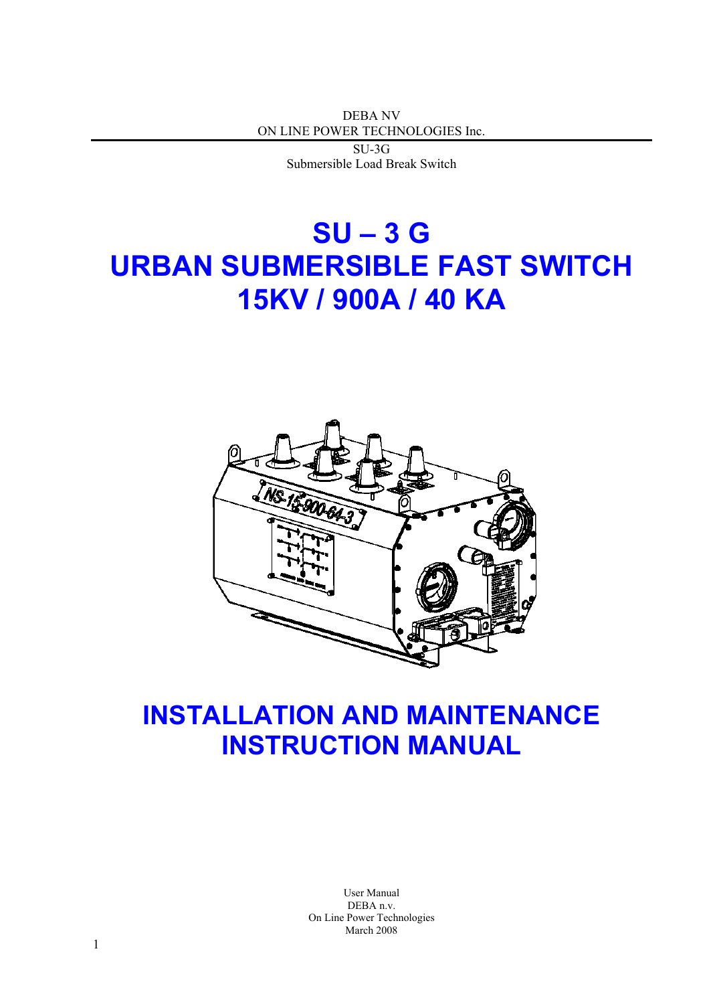> SU-3G Submersible Load Break Switch

# **SU – 3 G URBAN SUBMERSIBLE FAST SWITCH 15KV / 900A / 40 KA**



# **INSTALLATION AND MAINTENANCE INSTRUCTION MANUAL**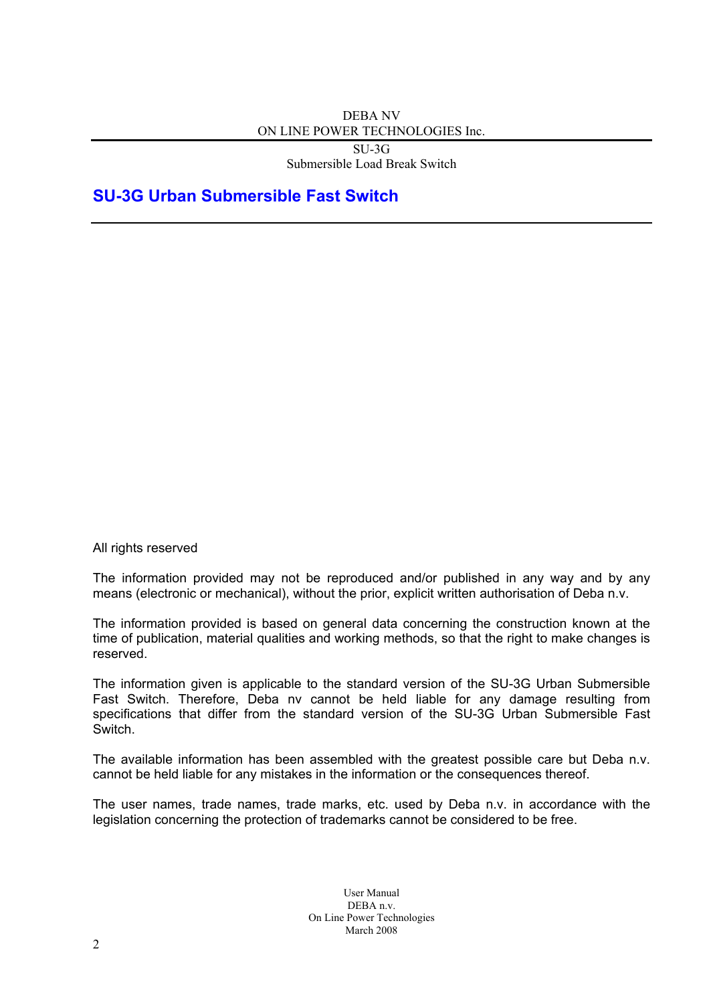SU-3G Submersible Load Break Switch

### **SU-3G Urban Submersible Fast Switch**

All rights reserved

The information provided may not be reproduced and/or published in any way and by any means (electronic or mechanical), without the prior, explicit written authorisation of Deba n.v.

The information provided is based on general data concerning the construction known at the time of publication, material qualities and working methods, so that the right to make changes is reserved.

The information given is applicable to the standard version of the SU-3G Urban Submersible Fast Switch. Therefore, Deba nv cannot be held liable for any damage resulting from specifications that differ from the standard version of the SU-3G Urban Submersible Fast Switch.

The available information has been assembled with the greatest possible care but Deba n.v. cannot be held liable for any mistakes in the information or the consequences thereof.

The user names, trade names, trade marks, etc. used by Deba n.v. in accordance with the legislation concerning the protection of trademarks cannot be considered to be free.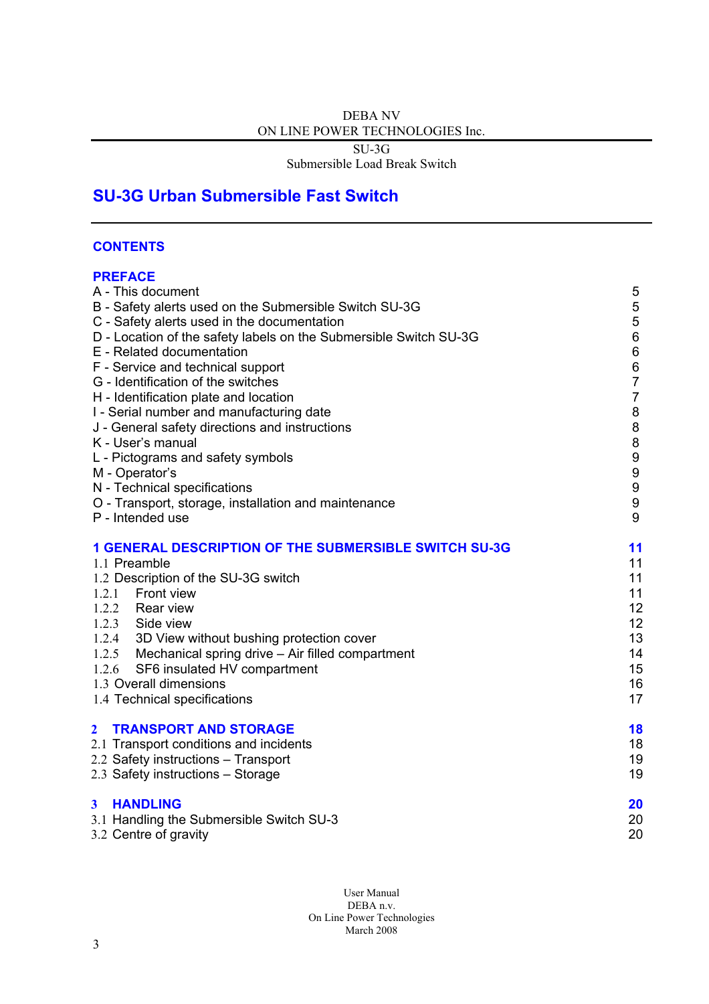SU-3G

Submersible Load Break Switch

## **SU-3G Urban Submersible Fast Switch**

### **CONTENTS**

| <b>PREFACE</b>                                                                                                                                                                                                                                                                                                                                                                                                                                                                                                                                                                                                                         |                                                                                                                                                     |
|----------------------------------------------------------------------------------------------------------------------------------------------------------------------------------------------------------------------------------------------------------------------------------------------------------------------------------------------------------------------------------------------------------------------------------------------------------------------------------------------------------------------------------------------------------------------------------------------------------------------------------------|-----------------------------------------------------------------------------------------------------------------------------------------------------|
| A - This document<br>B - Safety alerts used on the Submersible Switch SU-3G<br>C - Safety alerts used in the documentation<br>D - Location of the safety labels on the Submersible Switch SU-3G<br>E - Related documentation<br>F - Service and technical support<br>G - Identification of the switches<br>H - Identification plate and location<br>I - Serial number and manufacturing date<br>J - General safety directions and instructions<br>K - User's manual<br>L - Pictograms and safety symbols<br>M - Operator's<br>N - Technical specifications<br>O - Transport, storage, installation and maintenance<br>P - Intended use | 5<br>5<br>5<br>6<br>6<br>6<br>$\overline{7}$<br>$\overline{7}$<br>8<br>8<br>8<br>$\boldsymbol{9}$<br>$\boldsymbol{9}$<br>$\boldsymbol{9}$<br>9<br>9 |
| <b>1 GENERAL DESCRIPTION OF THE SUBMERSIBLE SWITCH SU-3G</b><br>1.1 Preamble<br>1.2 Description of the SU-3G switch<br>1.2.1<br>Front view<br>1.2.2 Rear view<br>1.2.3 Side view<br>1.2.4 3D View without bushing protection cover<br>1.2.5 Mechanical spring drive - Air filled compartment<br>1.2.6<br>SF6 insulated HV compartment<br>1.3 Overall dimensions<br>1.4 Technical specifications                                                                                                                                                                                                                                        | 11<br>11<br>11<br>11<br>12<br>12<br>13<br>14<br>15<br>16<br>17                                                                                      |
| <b>TRANSPORT AND STORAGE</b><br>$\overline{2}$<br>2.1 Transport conditions and incidents<br>2.2 Safety instructions - Transport<br>2.3 Safety instructions - Storage                                                                                                                                                                                                                                                                                                                                                                                                                                                                   | 18<br>18<br>19<br>19                                                                                                                                |
| <b>HANDLING</b><br>$\mathbf{3}$<br>3.1 Handling the Submersible Switch SU-3<br>3.2 Centre of gravity                                                                                                                                                                                                                                                                                                                                                                                                                                                                                                                                   | 20<br>20<br>20                                                                                                                                      |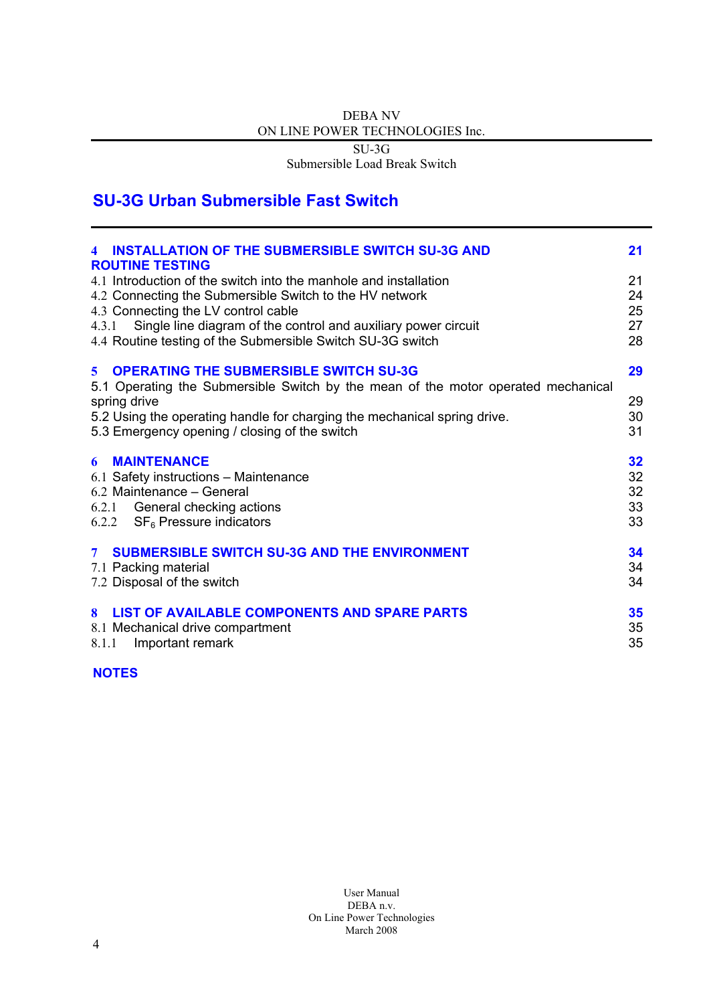SU-3G

Submersible Load Break Switch

## **SU-3G Urban Submersible Fast Switch**

| <b>INSTALLATION OF THE SUBMERSIBLE SWITCH SU-3G AND</b><br>4<br><b>ROUTINE TESTING</b><br>4.1 Introduction of the switch into the manhole and installation<br>4.2 Connecting the Submersible Switch to the HV network<br>4.3 Connecting the LV control cable<br>Single line diagram of the control and auxiliary power circuit<br>4.3.1<br>4.4 Routine testing of the Submersible Switch SU-3G switch | 21<br>21<br>24<br>25<br>27<br>28 |
|-------------------------------------------------------------------------------------------------------------------------------------------------------------------------------------------------------------------------------------------------------------------------------------------------------------------------------------------------------------------------------------------------------|----------------------------------|
| <b>OPERATING THE SUBMERSIBLE SWITCH SU-3G</b><br>5.<br>5.1 Operating the Submersible Switch by the mean of the motor operated mechanical<br>spring drive<br>5.2 Using the operating handle for charging the mechanical spring drive.<br>5.3 Emergency opening / closing of the switch                                                                                                                 | 29<br>29<br>30<br>31             |
| <b>MAINTENANCE</b><br>6<br>6.1 Safety instructions - Maintenance<br>6.2 Maintenance - General<br>6.2.1 General checking actions<br>6.2.2 $SF_6$ Pressure indicators                                                                                                                                                                                                                                   | 32<br>32<br>32<br>33<br>33       |
| <b>SUBMERSIBLE SWITCH SU-3G AND THE ENVIRONMENT</b><br>7<br>7.1 Packing material<br>7.2 Disposal of the switch                                                                                                                                                                                                                                                                                        | 34<br>34<br>34                   |
| <b>LIST OF AVAILABLE COMPONENTS AND SPARE PARTS</b><br>8<br>8.1 Mechanical drive compartment<br>Important remark<br>8.1.1                                                                                                                                                                                                                                                                             | 35<br>35<br>35                   |

### **NOTES**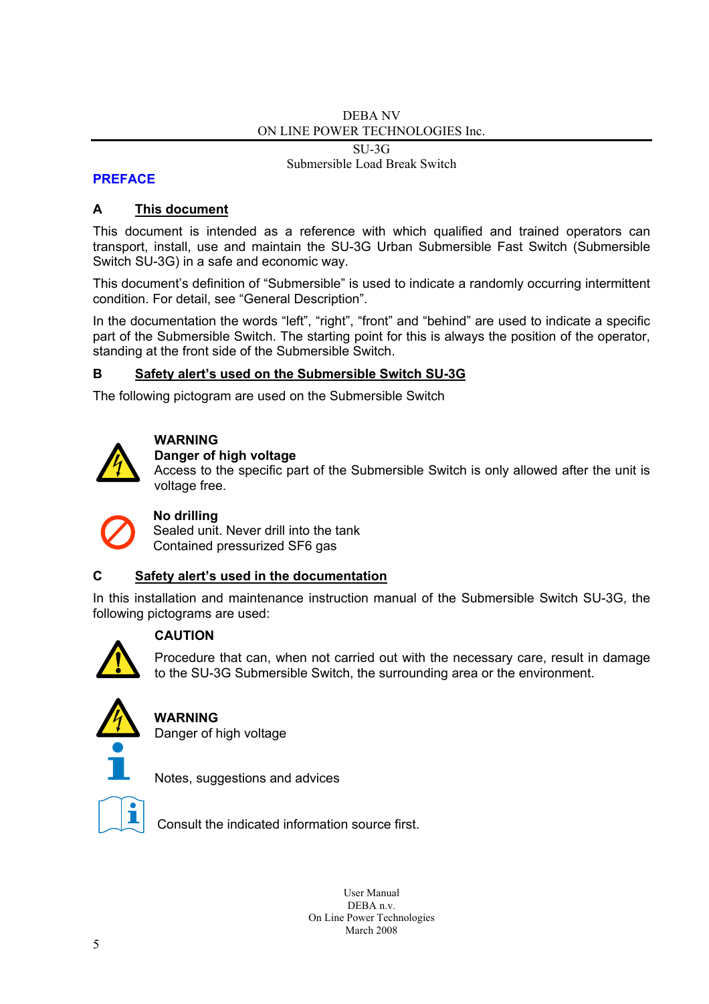SU-3G Submersible Load Break Switch

### **PREFACE**

### **A This document**

This document is intended as a reference with which qualified and trained operators can transport, install, use and maintain the SU-3G Urban Submersible Fast Switch (Submersible Switch SU-3G) in a safe and economic way.

This document's definition of "Submersible" is used to indicate a randomly occurring intermittent condition. For detail, see "General Description".

In the documentation the words "left", "right", "front" and "behind" are used to indicate a specific part of the Submersible Switch. The starting point for this is always the position of the operator, standing at the front side of the Submersible Switch.

### **B Safety alert's used on the Submersible Switch SU-3G**

The following pictogram are used on the Submersible Switch



### **WARNING**

### **Danger of high voltage**

Access to the specific part of the Submersible Switch is only allowed after the unit is voltage free.



### **No drilling**

 Sealed unit. Never drill into the tank Contained pressurized SF6 gas

### **C Safety alert's used in the documentation**

In this installation and maintenance instruction manual of the Submersible Switch SU-3G, the following pictograms are used:



### **CAUTION**

Procedure that can, when not carried out with the necessary care, result in damage to the SU-3G Submersible Switch, the surrounding area or the environment.



### **WARNING**

Danger of high voltage

Notes, suggestions and advices



Consult the indicated information source first.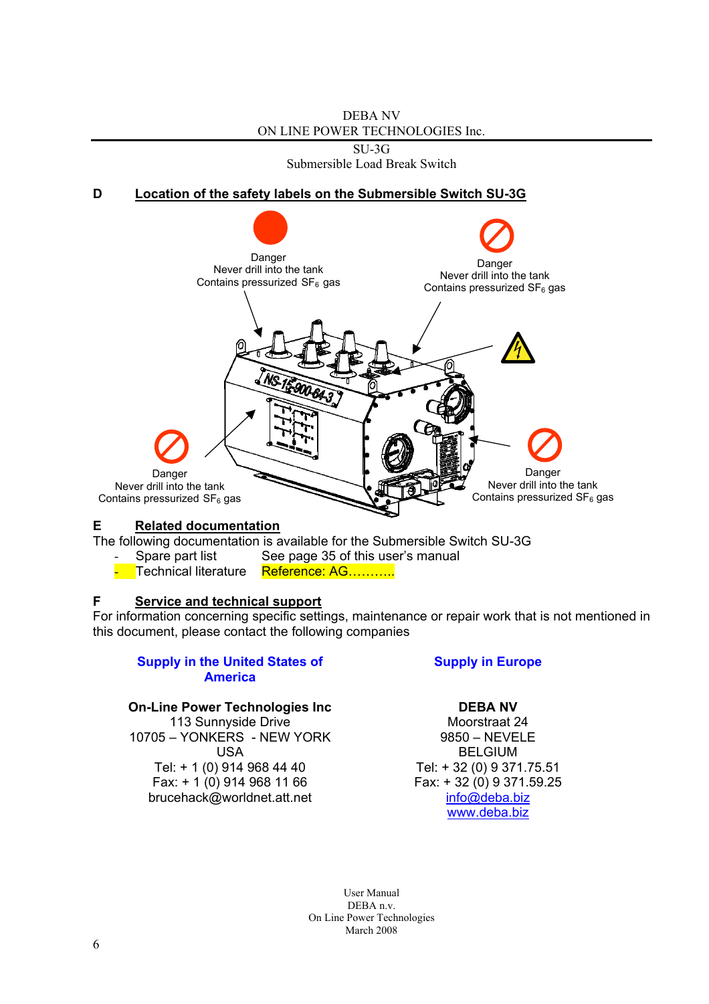

The following documentation is available for the Submersible Switch SU-3G

Spare part list See page 35 of this user's manual<br>Technical literature Reference: AG..........

Reference: AG……….

### **F Service and technical support**

For information concerning specific settings, maintenance or repair work that is not mentioned in this document, please contact the following companies

### **Supply in the United States of America**

### **On-Line Power Technologies Inc DEBA NV**

113 Sunnyside Drive Moorstraat 24 10705 – YONKERS - NEW YORK 9850 – NEVELE USA BELGIUM Tel: + 1 (0) 914 968 44 40 Tel: + 32 (0) 9 371.75.51 Fax: + 1 (0) 914 968 11 66 brucehack@worldnet.att.net

### **Supply in Europe**

Fax: + 32 (0) 9 371.59.25 [info@deba.biz](mailto:info@deba.biz) [www.deba.biz](http://www.deba.biz/)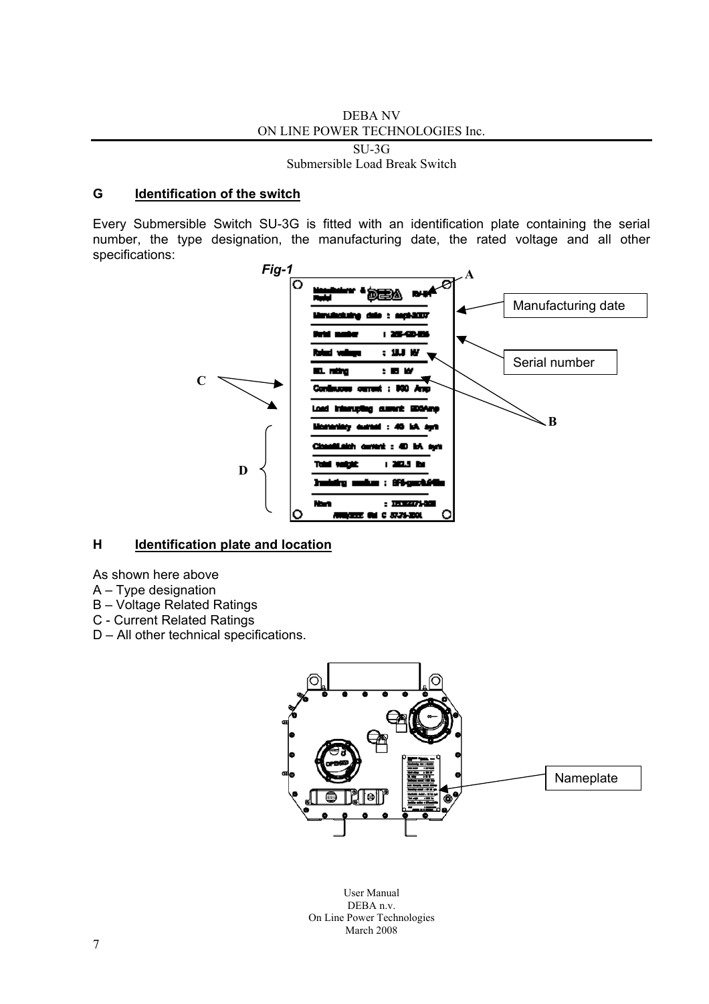SU-3G

Submersible Load Break Switch

### **G Identification of the switch**

Every Submersible Switch SU-3G is fitted with an identification plate containing the serial number, the type designation, the manufacturing date, the rated voltage and all other specifications:



### **H Identification plate and location**

As shown here above

- A Type designation
- B Voltage Related Ratings
- C Current Related Ratings
- D All other technical specifications.

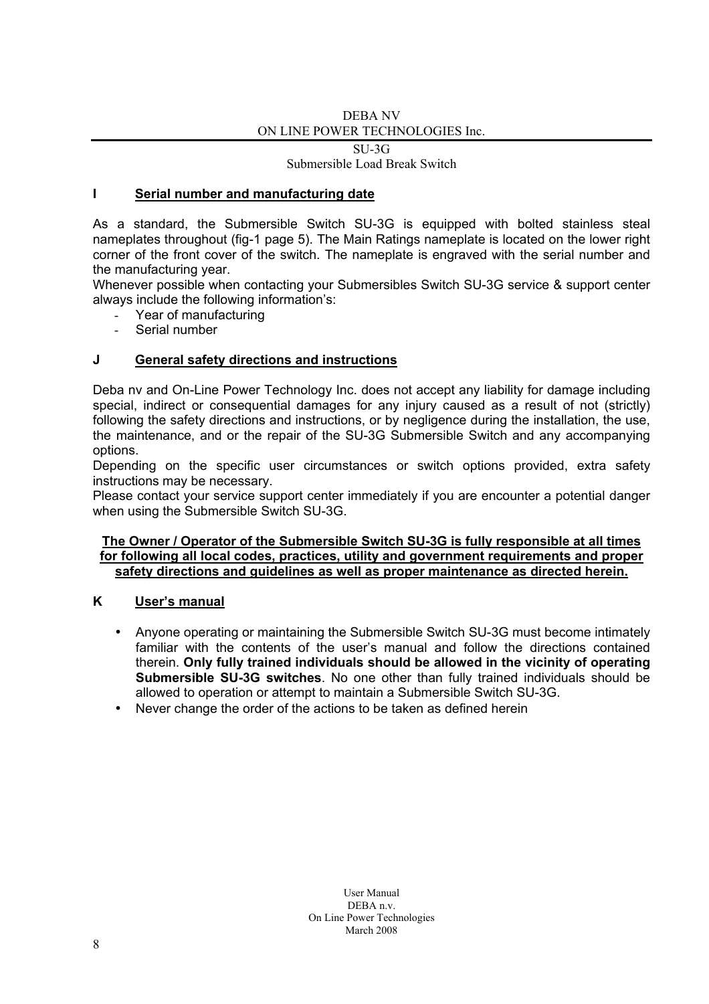$S\overline{U-3G}$ 

Submersible Load Break Switch

### **I Serial number and manufacturing date**

As a standard, the Submersible Switch SU-3G is equipped with bolted stainless steal nameplates throughout (fig-1 page 5). The Main Ratings nameplate is located on the lower right corner of the front cover of the switch. The nameplate is engraved with the serial number and the manufacturing year.

Whenever possible when contacting your Submersibles Switch SU-3G service & support center always include the following information's:

- Year of manufacturing
- Serial number

### **J General safety directions and instructions**

Deba nv and On-Line Power Technology Inc. does not accept any liability for damage including special, indirect or consequential damages for any injury caused as a result of not (strictly) following the safety directions and instructions, or by negligence during the installation, the use, the maintenance, and or the repair of the SU-3G Submersible Switch and any accompanying options.

Depending on the specific user circumstances or switch options provided, extra safety instructions may be necessary.

Please contact your service support center immediately if you are encounter a potential danger when using the Submersible Switch SU-3G.

### **The Owner / Operator of the Submersible Switch SU-3G is fully responsible at all times for following all local codes, practices, utility and government requirements and proper safety directions and guidelines as well as proper maintenance as directed herein.**

### **K User's manual**

- Anyone operating or maintaining the Submersible Switch SU-3G must become intimately familiar with the contents of the user's manual and follow the directions contained therein. **Only fully trained individuals should be allowed in the vicinity of operating Submersible SU-3G switches**. No one other than fully trained individuals should be allowed to operation or attempt to maintain a Submersible Switch SU-3G.
- Never change the order of the actions to be taken as defined herein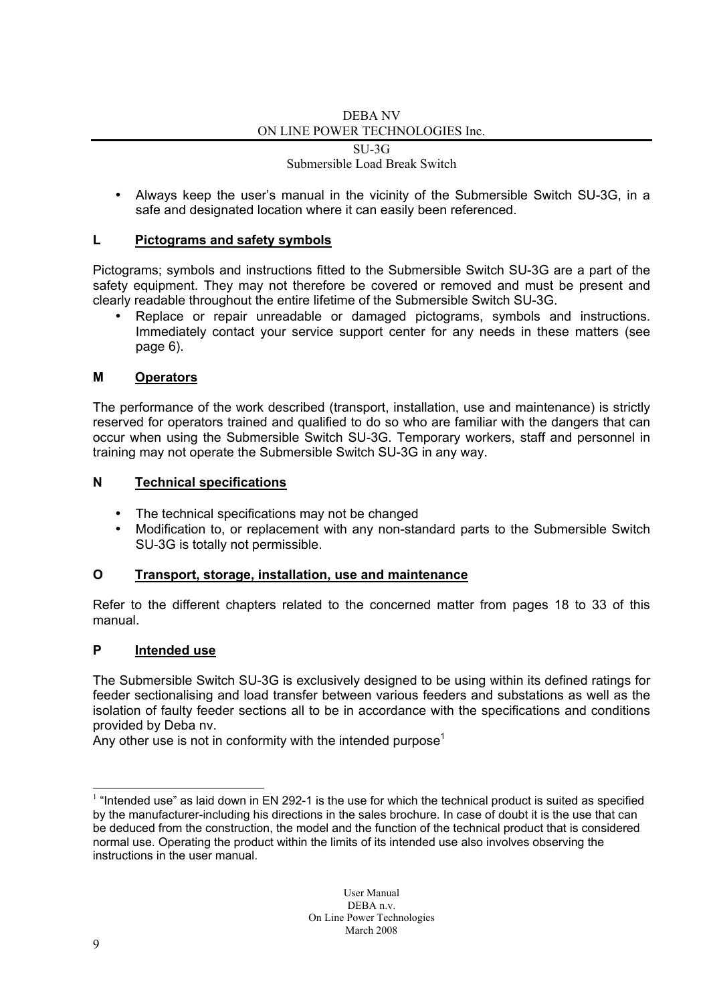#### SU-3G

### Submersible Load Break Switch

• Always keep the user's manual in the vicinity of the Submersible Switch SU-3G, in a safe and designated location where it can easily been referenced.

### **L Pictograms and safety symbols**

Pictograms; symbols and instructions fitted to the Submersible Switch SU-3G are a part of the safety equipment. They may not therefore be covered or removed and must be present and clearly readable throughout the entire lifetime of the Submersible Switch SU-3G.

• Replace or repair unreadable or damaged pictograms, symbols and instructions. Immediately contact your service support center for any needs in these matters (see page 6).

### **M Operators**

The performance of the work described (transport, installation, use and maintenance) is strictly reserved for operators trained and qualified to do so who are familiar with the dangers that can occur when using the Submersible Switch SU-3G. Temporary workers, staff and personnel in training may not operate the Submersible Switch SU-3G in any way.

### **N Technical specifications**

- The technical specifications may not be changed
- Modification to, or replacement with any non-standard parts to the Submersible Switch SU-3G is totally not permissible.

### **O Transport, storage, installation, use and maintenance**

Refer to the different chapters related to the concerned matter from pages 18 to 33 of this manual.

### **P Intended use**

The Submersible Switch SU-3G is exclusively designed to be using within its defined ratings for feeder sectionalising and load transfer between various feeders and substations as well as the isolation of faulty feeder sections all to be in accordance with the specifications and conditions provided by Deba nv.

Any other use is not in conformity with the intended purpose<sup>[1](#page-8-0)</sup>

<span id="page-8-0"></span>  $1$  "Intended use" as laid down in EN 292-1 is the use for which the technical product is suited as specified by the manufacturer-including his directions in the sales brochure. In case of doubt it is the use that can be deduced from the construction, the model and the function of the technical product that is considered normal use. Operating the product within the limits of its intended use also involves observing the instructions in the user manual.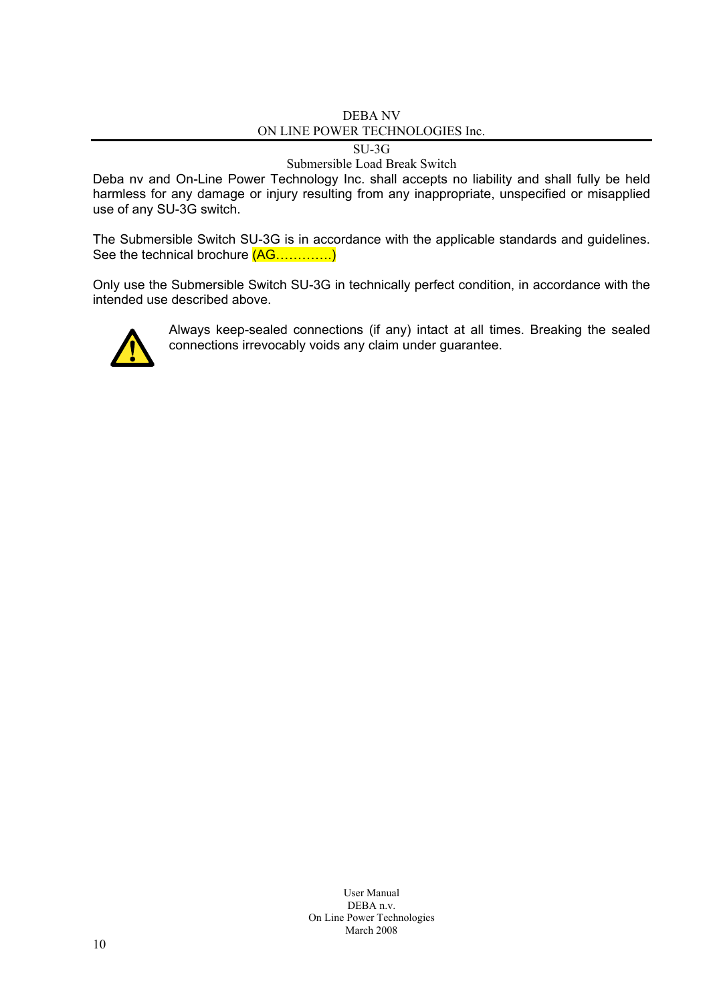SU-3G

### Submersible Load Break Switch

Deba nv and On-Line Power Technology Inc. shall accepts no liability and shall fully be held harmless for any damage or injury resulting from any inappropriate, unspecified or misapplied use of any SU-3G switch.

The Submersible Switch SU-3G is in accordance with the applicable standards and guidelines. See the technical brochure (AG..............)

Only use the Submersible Switch SU-3G in technically perfect condition, in accordance with the intended use described above.



Always keep-sealed connections (if any) intact at all times. Breaking the sealed connections irrevocably voids any claim under guarantee.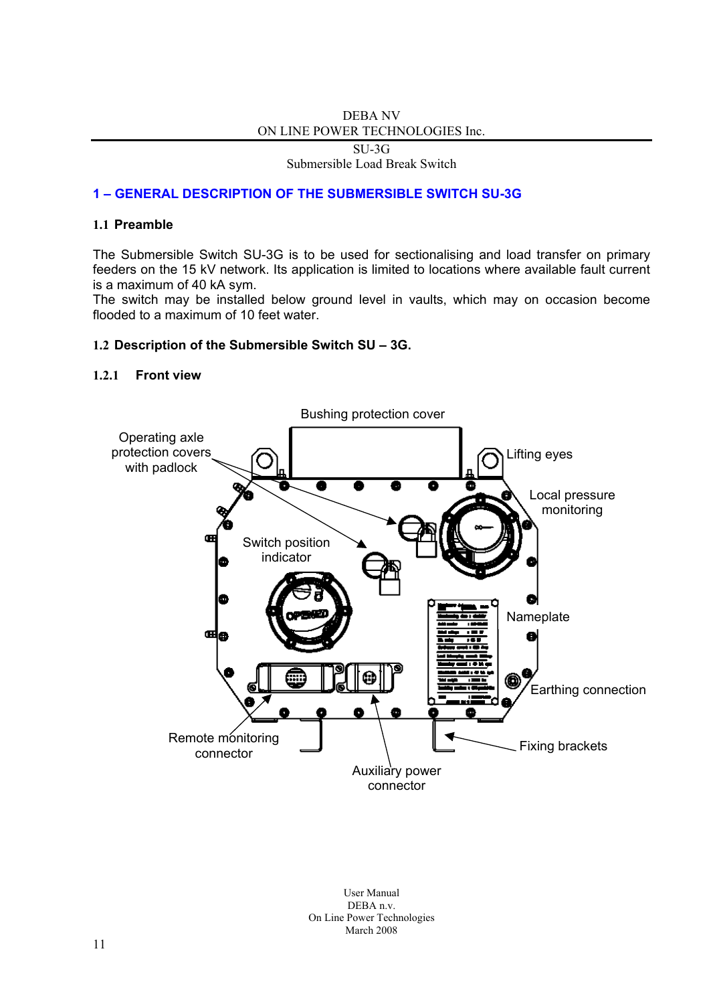SU-3G Submersible Load Break Switch

### **1 – GENERAL DESCRIPTION OF THE SUBMERSIBLE SWITCH SU-3G**

### **1.1 Preamble**

The Submersible Switch SU-3G is to be used for sectionalising and load transfer on primary feeders on the 15 kV network. Its application is limited to locations where available fault current is a maximum of 40 kA sym.

The switch may be installed below ground level in vaults, which may on occasion become flooded to a maximum of 10 feet water.

### **1.2 Description of the Submersible Switch SU – 3G.**

### **1.2.1 Front view**

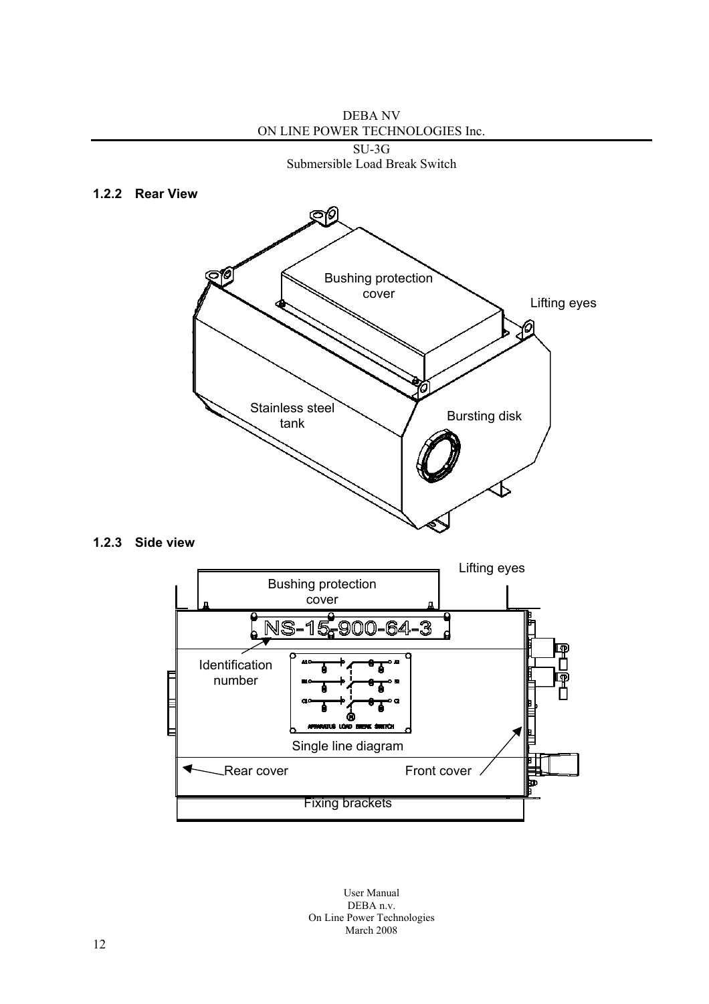

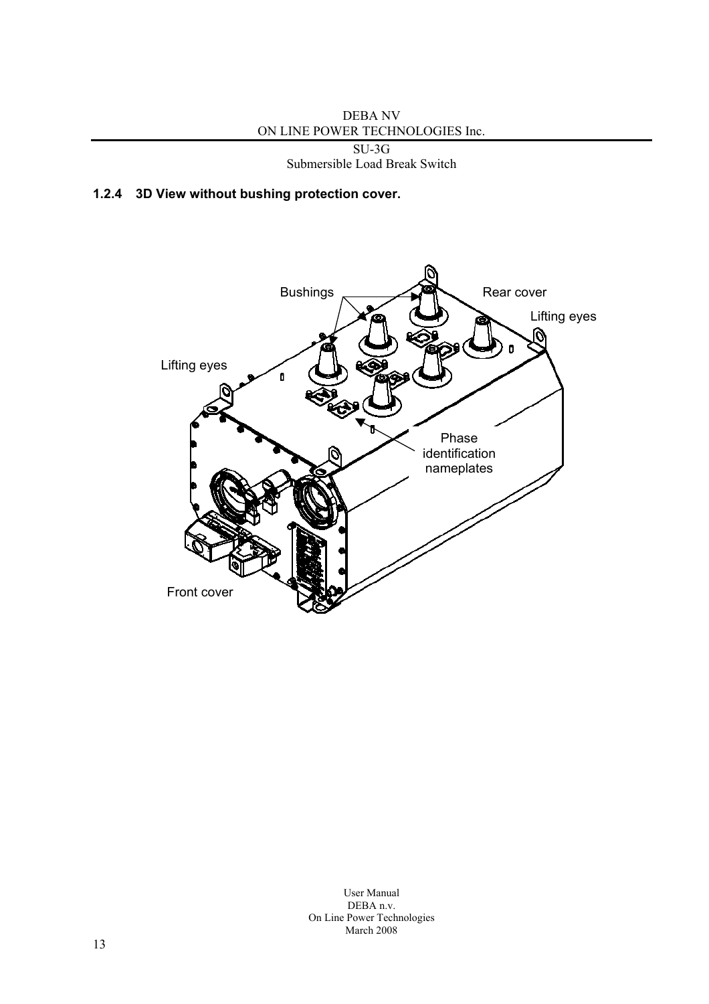DEBA NV ON LINE POWER TECHNOLOGIES Inc.

SU-3G

Submersible Load Break Switch

### **1.2.4 3D View without bushing protection cover.**

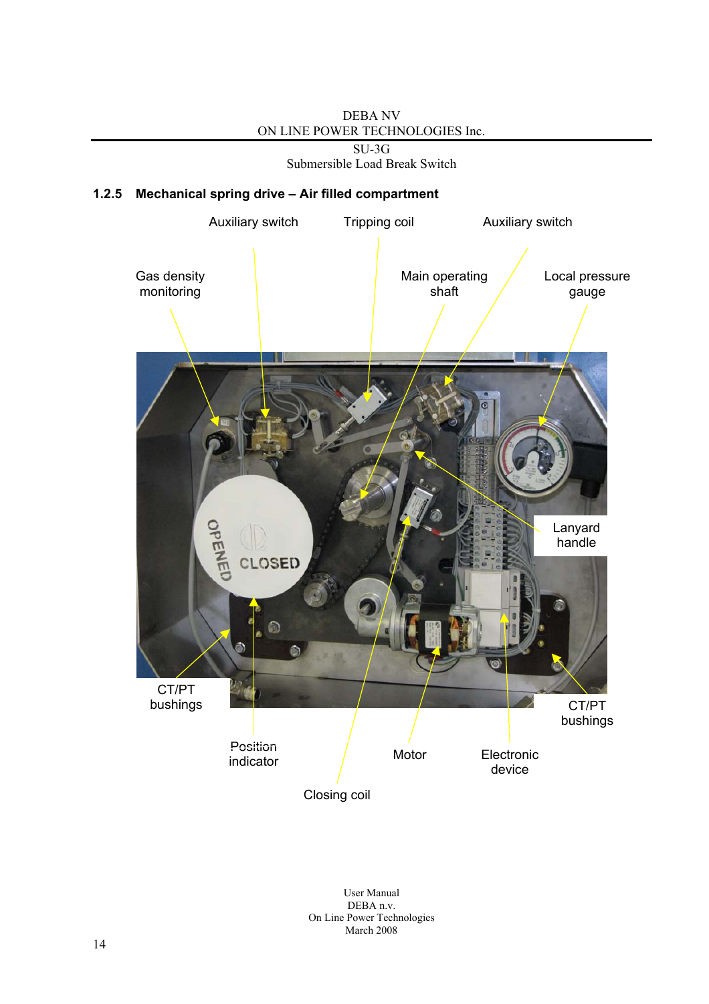SU-3G

Submersible Load Break Switch

### **1.2.5 Mechanical spring drive – Air filled compartment**

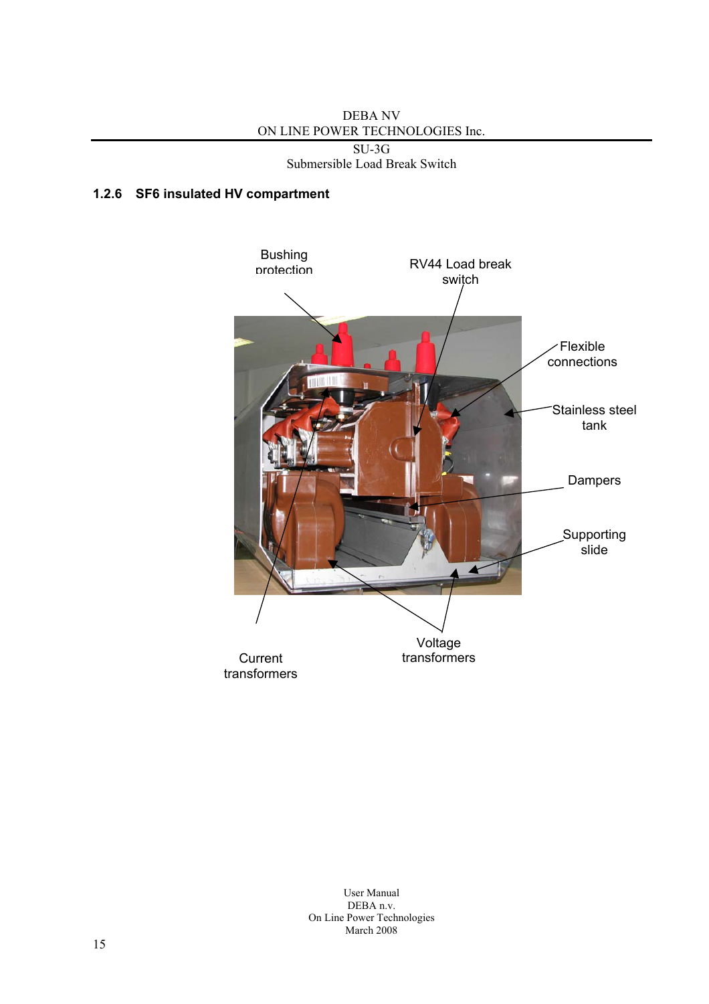SU-3G

Submersible Load Break Switch

### **1.2.6 SF6 insulated HV compartment**

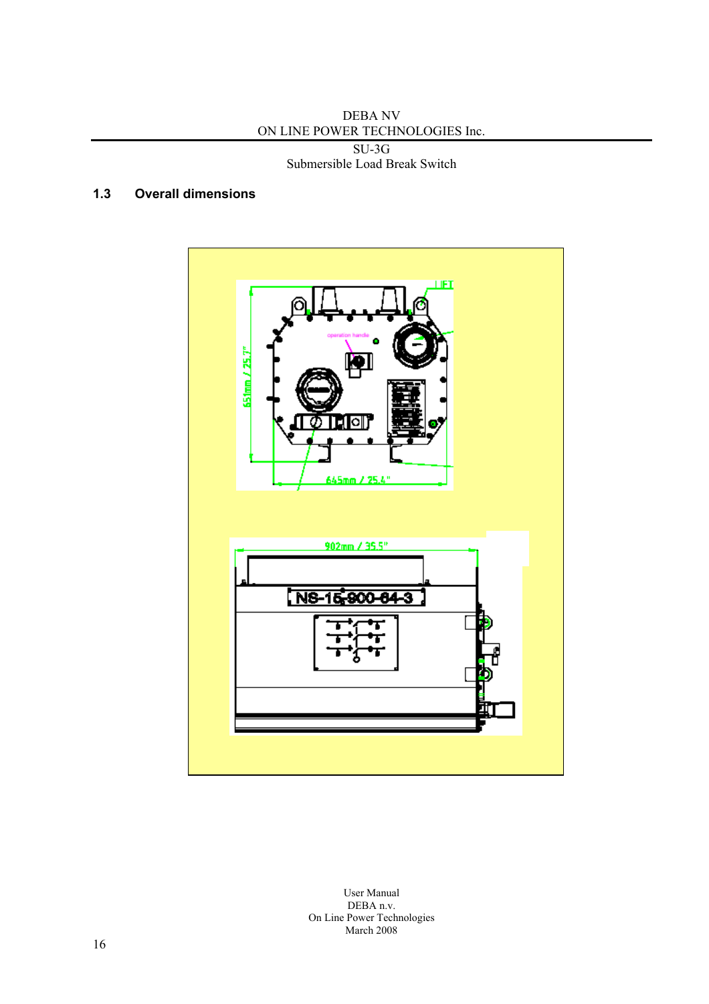DEBA NV ON LINE POWER TECHNOLOGIES Inc.

SU-3G Submersible Load Break Switch

### **1.3 Overall dimensions**

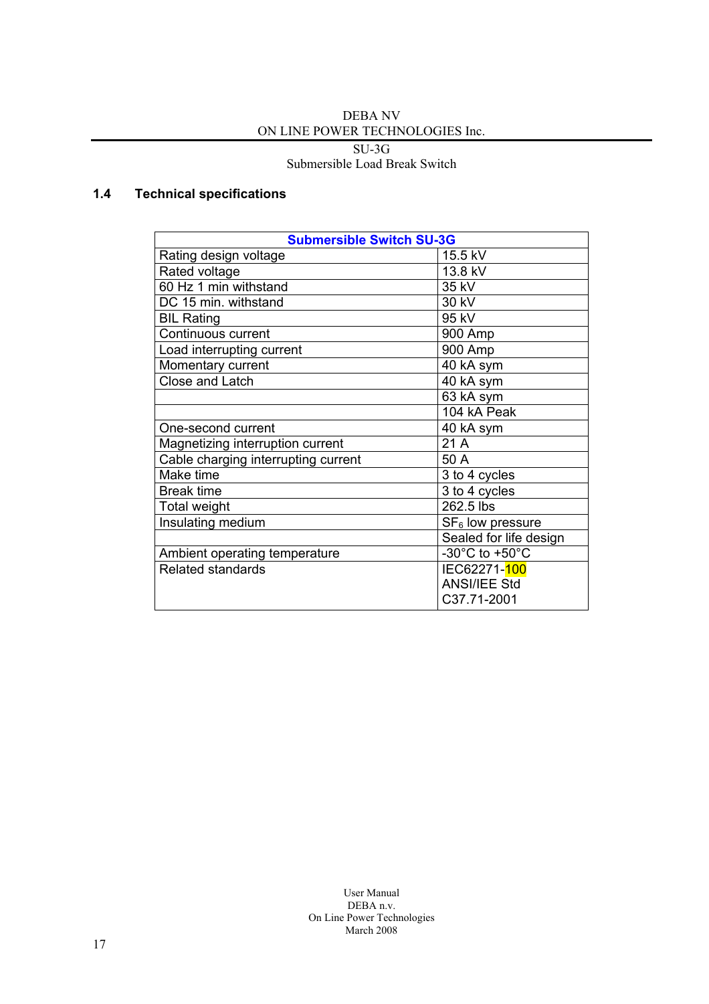SU-3G

Submersible Load Break Switch

### **1.4 Technical specifications**

| <b>Submersible Switch SU-3G</b>     |                                      |  |
|-------------------------------------|--------------------------------------|--|
| Rating design voltage               | 15.5 kV                              |  |
| Rated voltage                       | 13.8 kV                              |  |
| 60 Hz 1 min withstand               | 35 kV                                |  |
| DC 15 min. withstand                | 30 kV                                |  |
| <b>BIL Rating</b>                   | 95 kV                                |  |
| Continuous current                  | 900 Amp                              |  |
| Load interrupting current           | 900 Amp                              |  |
| Momentary current                   | 40 kA sym                            |  |
| Close and Latch                     | 40 kA sym                            |  |
|                                     | 63 kA sym                            |  |
|                                     | 104 kA Peak                          |  |
| One-second current                  | 40 kA sym                            |  |
| Magnetizing interruption current    | 21A                                  |  |
| Cable charging interrupting current | 50 A                                 |  |
| Make time                           | 3 to 4 cycles                        |  |
| <b>Break time</b>                   | 3 to 4 cycles                        |  |
| Total weight                        | 262.5 lbs                            |  |
| Insulating medium                   | $SF6$ low pressure                   |  |
|                                     | Sealed for life design               |  |
| Ambient operating temperature       | -30 $^{\circ}$ C to +50 $^{\circ}$ C |  |
| <b>Related standards</b>            | IEC62271-100                         |  |
|                                     | <b>ANSI/IEE Std</b>                  |  |
|                                     | C37.71-2001                          |  |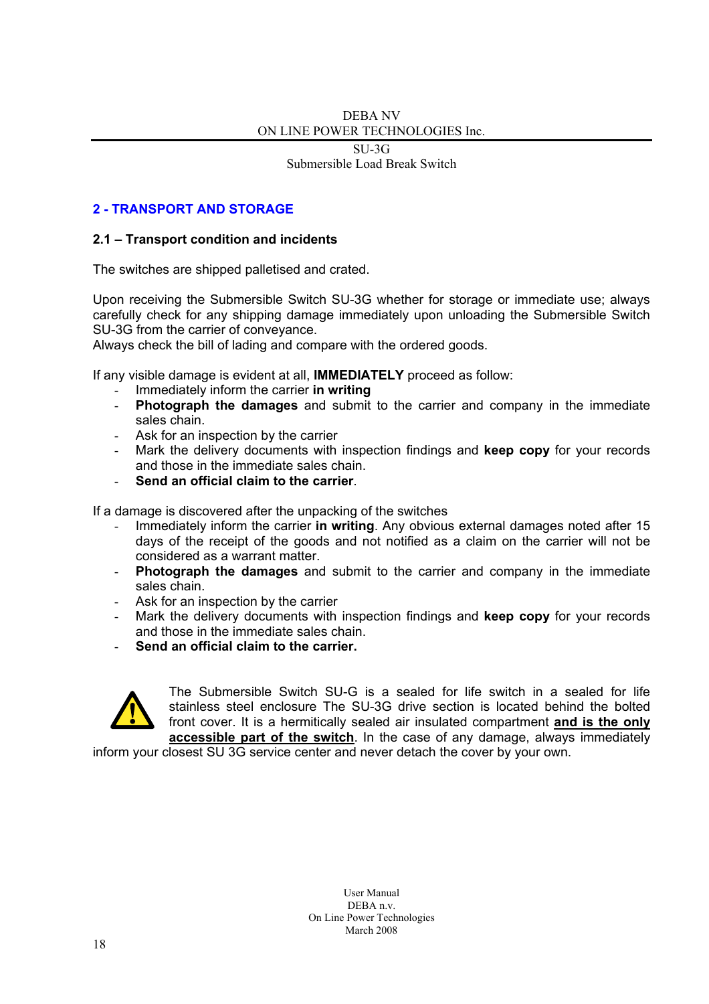SU-3G Submersible Load Break Switch

### **2 - TRANSPORT AND STORAGE**

### **2.1 – Transport condition and incidents**

The switches are shipped palletised and crated.

Upon receiving the Submersible Switch SU-3G whether for storage or immediate use; always carefully check for any shipping damage immediately upon unloading the Submersible Switch SU-3G from the carrier of conveyance.

Always check the bill of lading and compare with the ordered goods.

If any visible damage is evident at all, **IMMEDIATELY** proceed as follow:

- Immediately inform the carrier **in writing**
- **Photograph the damages** and submit to the carrier and company in the immediate sales chain.
- Ask for an inspection by the carrier
- Mark the delivery documents with inspection findings and **keep copy** for your records and those in the immediate sales chain.
- **Send an official claim to the carrier**.

If a damage is discovered after the unpacking of the switches

- Immediately inform the carrier **in writing**. Any obvious external damages noted after 15 days of the receipt of the goods and not notified as a claim on the carrier will not be considered as a warrant matter.
- **Photograph the damages** and submit to the carrier and company in the immediate sales chain.
- Ask for an inspection by the carrier
- Mark the delivery documents with inspection findings and **keep copy** for your records and those in the immediate sales chain.
- **Send an official claim to the carrier.**



The Submersible Switch SU-G is a sealed for life switch in a sealed for life stainless steel enclosure The SU-3G drive section is located behind the bolted front cover. It is a hermitically sealed air insulated compartment **and is the only accessible part of the switch**. In the case of any damage, always immediately

inform your closest SU 3G service center and never detach the cover by your own.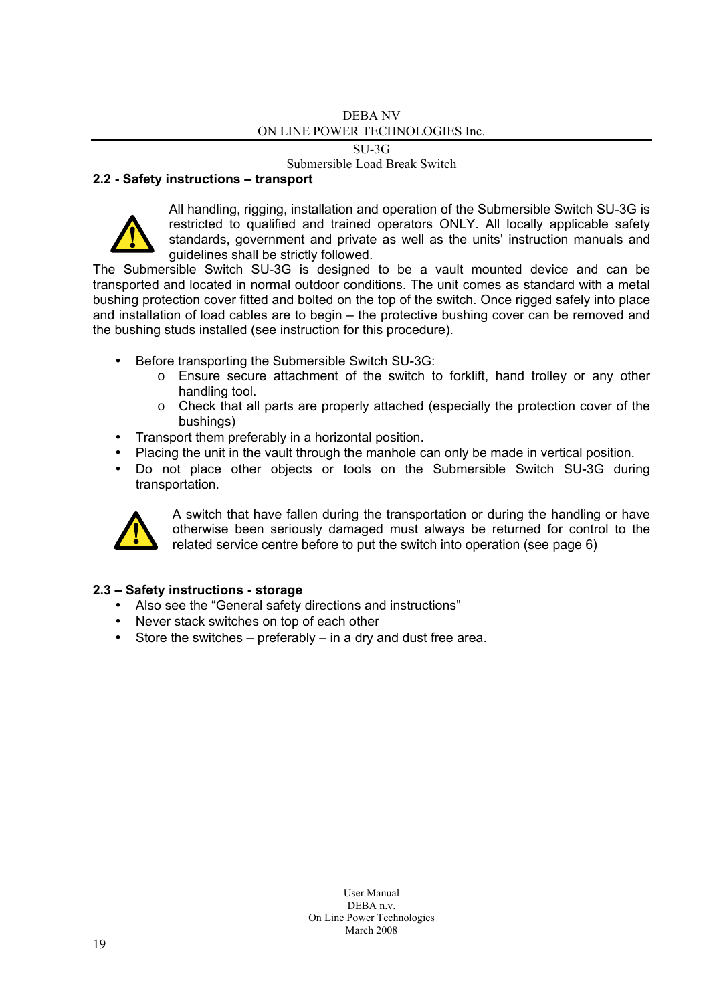$S\overline{U-3G}$ 

Submersible Load Break Switch

### **2.2 - Safety instructions – transport**



All handling, rigging, installation and operation of the Submersible Switch SU-3G is restricted to qualified and trained operators ONLY. All locally applicable safety standards, government and private as well as the units' instruction manuals and guidelines shall be strictly followed.

The Submersible Switch SU-3G is designed to be a vault mounted device and can be transported and located in normal outdoor conditions. The unit comes as standard with a metal bushing protection cover fitted and bolted on the top of the switch. Once rigged safely into place and installation of load cables are to begin – the protective bushing cover can be removed and the bushing studs installed (see instruction for this procedure).

- Before transporting the Submersible Switch SU-3G:
	- o Ensure secure attachment of the switch to forklift, hand trolley or any other handling tool.
	- o Check that all parts are properly attached (especially the protection cover of the bushings)
- Transport them preferably in a horizontal position.
- Placing the unit in the vault through the manhole can only be made in vertical position.
- Do not place other objects or tools on the Submersible Switch SU-3G during transportation.



A switch that have fallen during the transportation or during the handling or have otherwise been seriously damaged must always be returned for control to the related service centre before to put the switch into operation (see page 6)

### **2.3 – Safety instructions - storage**

- Also see the "General safety directions and instructions"
- Never stack switches on top of each other
- Store the switches preferably in a dry and dust free area.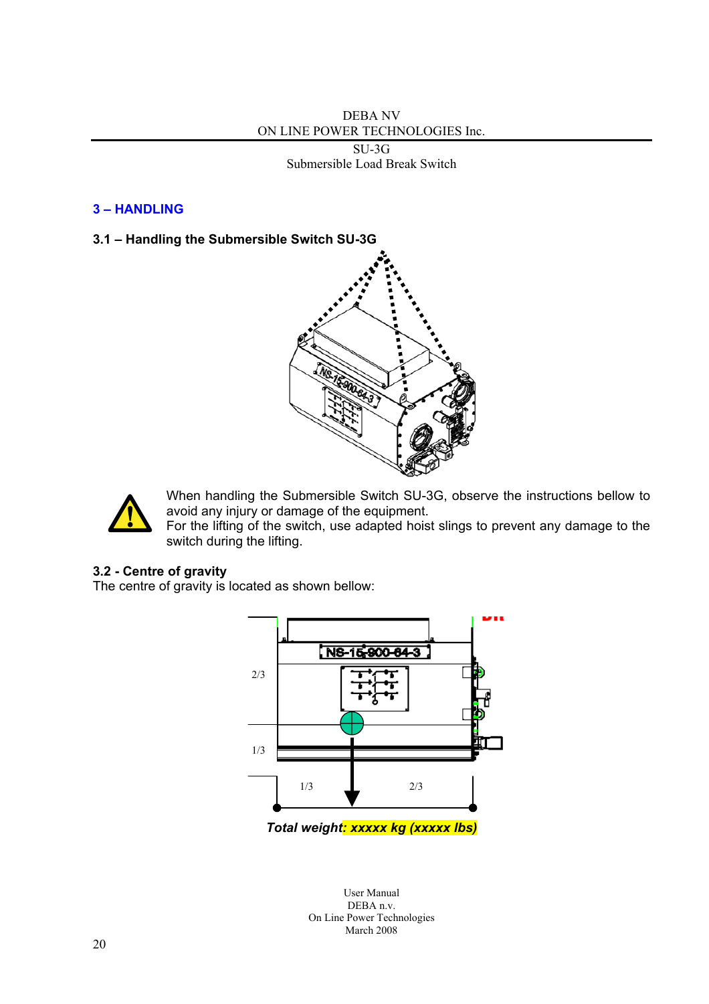> SU-3G Submersible Load Break Switch

### **3 – HANDLING**

### **3.1 – Handling the Submersible Switch SU-3G**





When handling the Submersible Switch SU-3G, observe the instructions bellow to avoid any injury or damage of the equipment.

For the lifting of the switch, use adapted hoist slings to prevent any damage to the switch during the lifting.

### **3.2 - Centre of gravity**

The centre of gravity is located as shown bellow:



*Total weight: xxxxx kg (xxxxx lbs)*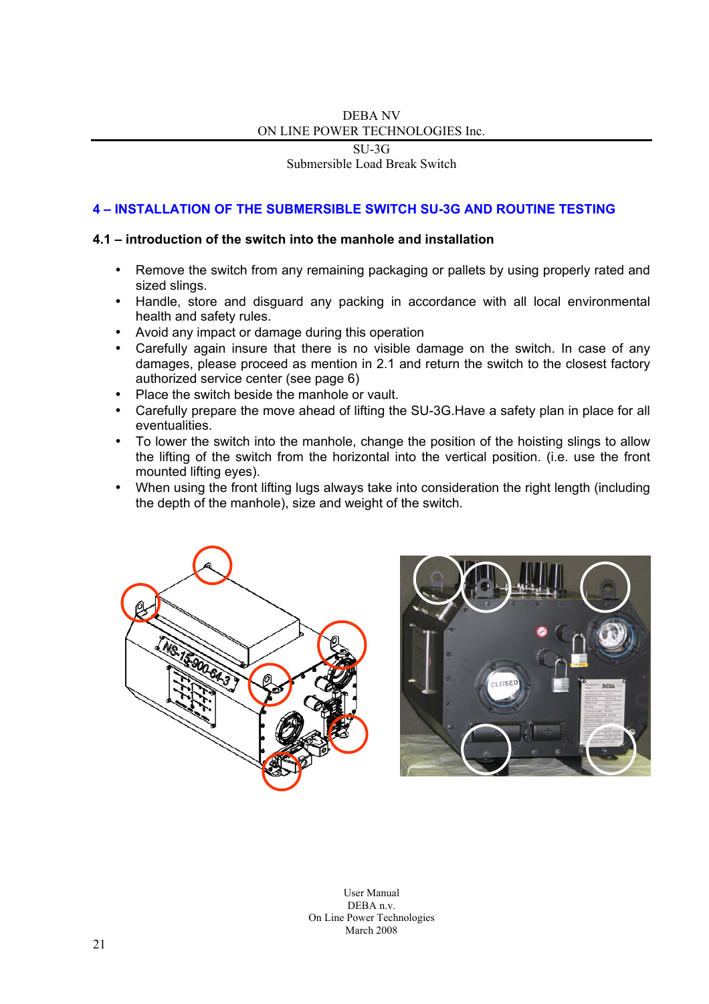SU-3G

Submersible Load Break Switch

### **4 – INSTALLATION OF THE SUBMERSIBLE SWITCH SU-3G AND ROUTINE TESTING**

### **4.1 – introduction of the switch into the manhole and installation**

- Remove the switch from any remaining packaging or pallets by using properly rated and sized slings.
- Handle, store and disguard any packing in accordance with all local environmental health and safety rules.
- Avoid any impact or damage during this operation
- Carefully again insure that there is no visible damage on the switch. In case of any damages, please proceed as mention in 2.1 and return the switch to the closest factory authorized service center (see page 6)
- Place the switch beside the manhole or vault.
- Carefully prepare the move ahead of lifting the SU-3G.Have a safety plan in place for all eventualities.
- To lower the switch into the manhole, change the position of the hoisting slings to allow the lifting of the switch from the horizontal into the vertical position. (i.e. use the front mounted lifting eyes).
- When using the front lifting lugs always take into consideration the right length (including the depth of the manhole), size and weight of the switch.



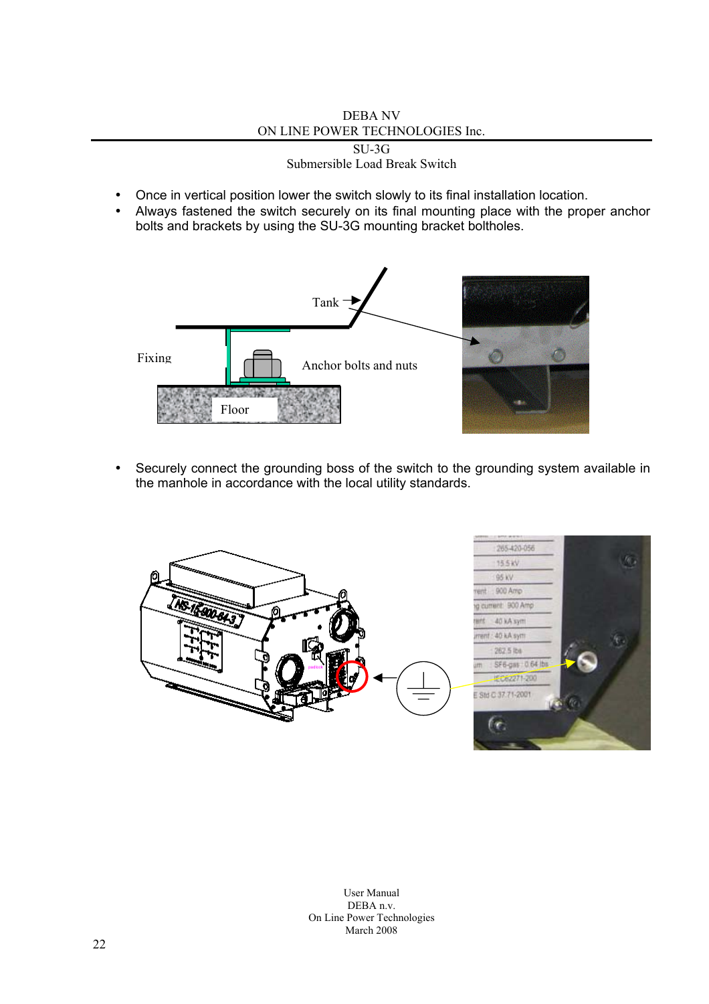DEBA NV ON LINE POWER TECHNOLOGIES Inc.

SU-3G Submersible Load Break Switch

- Once in vertical position lower the switch slowly to its final installation location.
- Always fastened the switch securely on its final mounting place with the proper anchor bolts and brackets by using the SU-3G mounting bracket boltholes.



• Securely connect the grounding boss of the switch to the grounding system available in the manhole in accordance with the local utility standards.

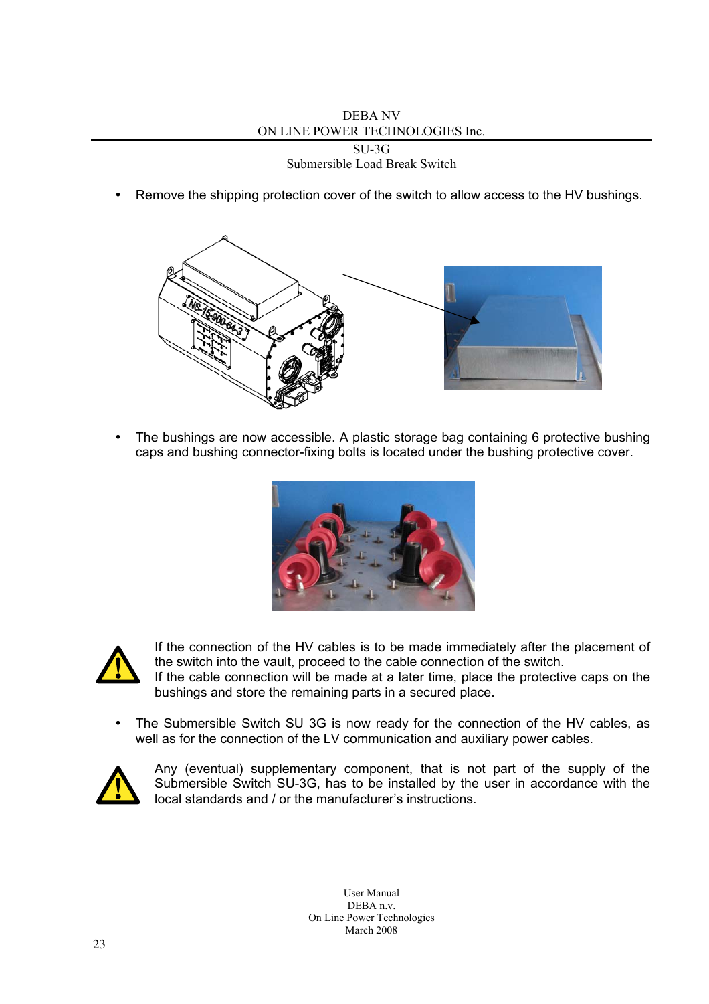DEBA NV ON LINE POWER TECHNOLOGIES Inc.

SU-3G Submersible Load Break Switch

Remove the shipping protection cover of the switch to allow access to the HV bushings.



• The bushings are now accessible. A plastic storage bag containing 6 protective bushing caps and bushing connector-fixing bolts is located under the bushing protective cover.





If the connection of the HV cables is to be made immediately after the placement of the switch into the vault, proceed to the cable connection of the switch.

If the cable connection will be made at a later time, place the protective caps on the bushings and store the remaining parts in a secured place.

• The Submersible Switch SU 3G is now ready for the connection of the HV cables, as well as for the connection of the LV communication and auxiliary power cables.



Any (eventual) supplementary component, that is not part of the supply of the Submersible Switch SU-3G, has to be installed by the user in accordance with the local standards and / or the manufacturer's instructions.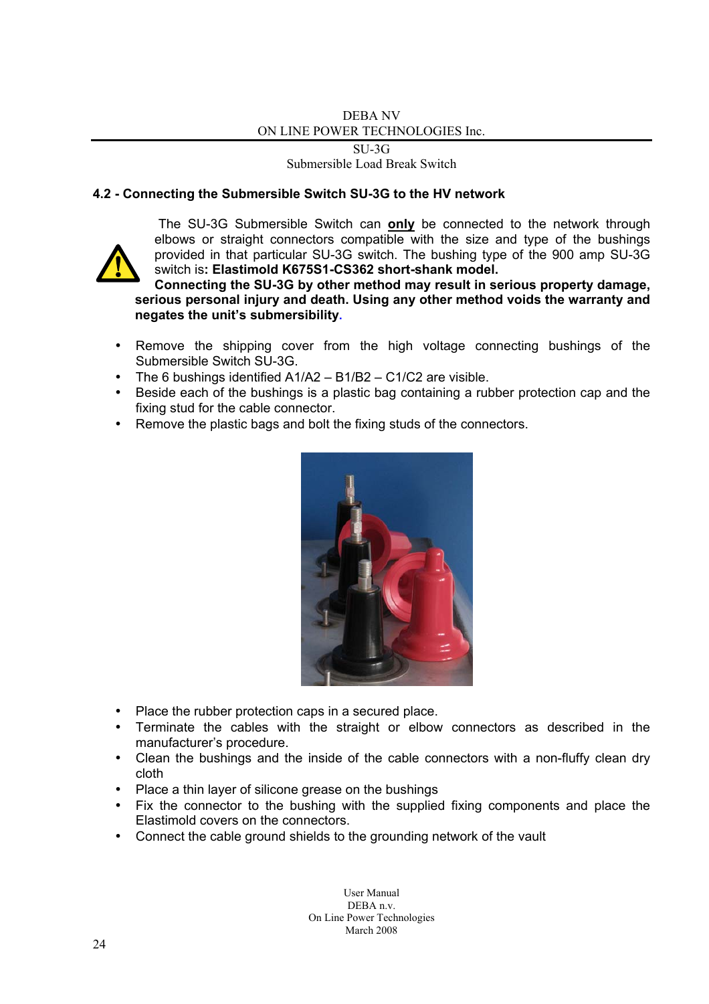SU-3G Submersible Load Break Switch

### **4.2 - Connecting the Submersible Switch SU-3G to the HV network**



The SU-3G Submersible Switch can **only** be connected to the network through elbows or straight connectors compatible with the size and type of the bushings provided in that particular SU-3G switch. The bushing type of the 900 amp SU-3G switch is**: Elastimold K675S1-CS362 short-shank model.** 

**Connecting the SU-3G by other method may result in serious property damage, serious personal injury and death. Using any other method voids the warranty and negates the unit's submersibility.**

- Remove the shipping cover from the high voltage connecting bushings of the Submersible Switch SU-3G.
- The 6 bushings identified A1/A2 B1/B2 C1/C2 are visible.
- Beside each of the bushings is a plastic bag containing a rubber protection cap and the fixing stud for the cable connector.
- Remove the plastic bags and bolt the fixing studs of the connectors.



- Place the rubber protection caps in a secured place.
- Terminate the cables with the straight or elbow connectors as described in the manufacturer's procedure.
- Clean the bushings and the inside of the cable connectors with a non-fluffy clean dry cloth
- Place a thin layer of silicone grease on the bushings
- Fix the connector to the bushing with the supplied fixing components and place the Elastimold covers on the connectors.
- Connect the cable ground shields to the grounding network of the vault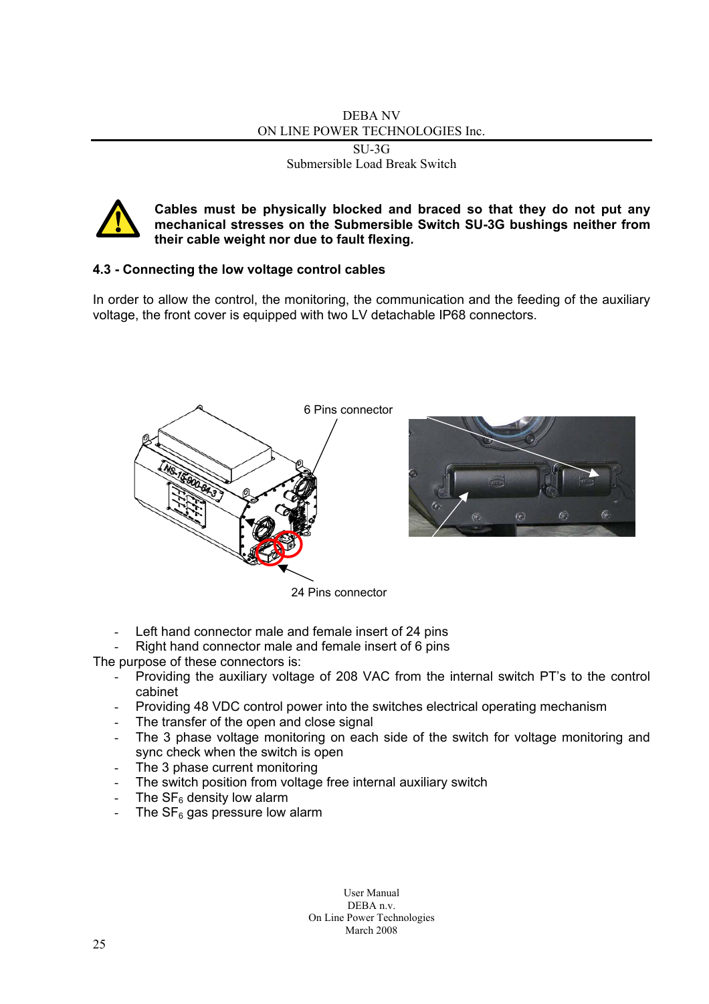DEBA NV ON LINE POWER TECHNOLOGIES Inc.

SU-3G Submersible Load Break Switch



**Cables must be physically blocked and braced so that they do not put any mechanical stresses on the Submersible Switch SU-3G bushings neither from their cable weight nor due to fault flexing.** 

### **4.3 - Connecting the low voltage control cables**

In order to allow the control, the monitoring, the communication and the feeding of the auxiliary voltage, the front cover is equipped with two LV detachable IP68 connectors.



24 Pins connector

- Left hand connector male and female insert of 24 pins
- Right hand connector male and female insert of 6 pins

The purpose of these connectors is:

- Providing the auxiliary voltage of 208 VAC from the internal switch PT's to the control cabinet
- Providing 48 VDC control power into the switches electrical operating mechanism
- The transfer of the open and close signal
- The 3 phase voltage monitoring on each side of the switch for voltage monitoring and sync check when the switch is open
- The 3 phase current monitoring
- The switch position from voltage free internal auxiliary switch
- The  $SF<sub>6</sub>$  density low alarm
- The  $SF_6$  gas pressure low alarm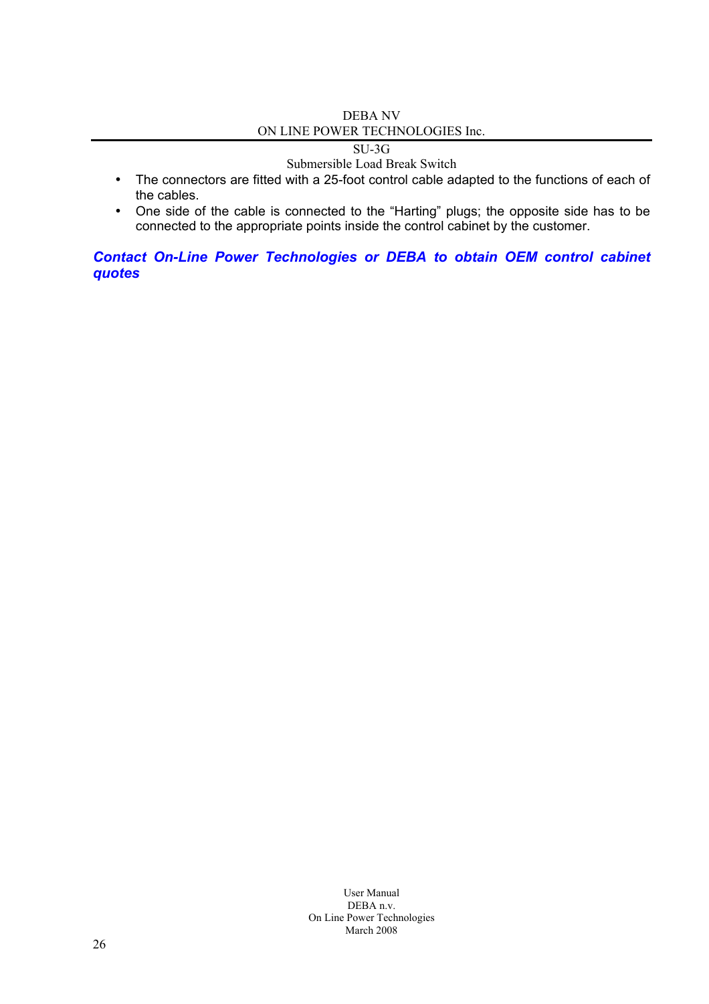### SU-3G

### Submersible Load Break Switch

- The connectors are fitted with a 25-foot control cable adapted to the functions of each of the cables.
- One side of the cable is connected to the "Harting" plugs; the opposite side has to be connected to the appropriate points inside the control cabinet by the customer.

### **Contact On-Line Power Technologies or DEBA to obtain OEM control cabinet** *quotes*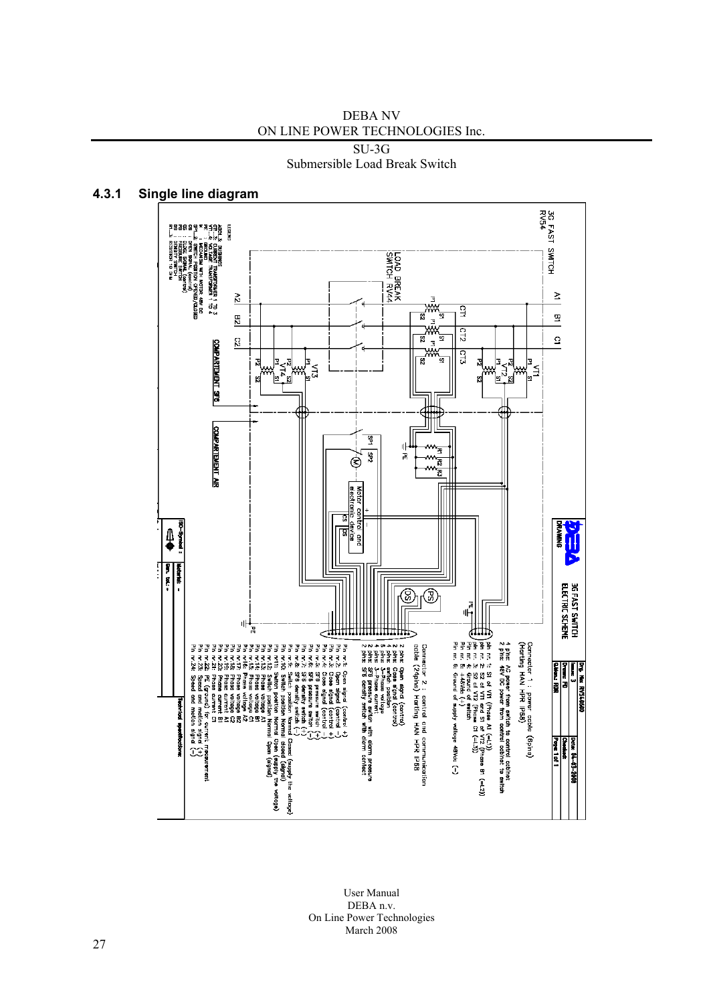DEBA NV ON LINE POWER TECHNOLOGIES Inc.

SU-3G

Submersible Load Break Switch



### **4.3.1 Single line diagram**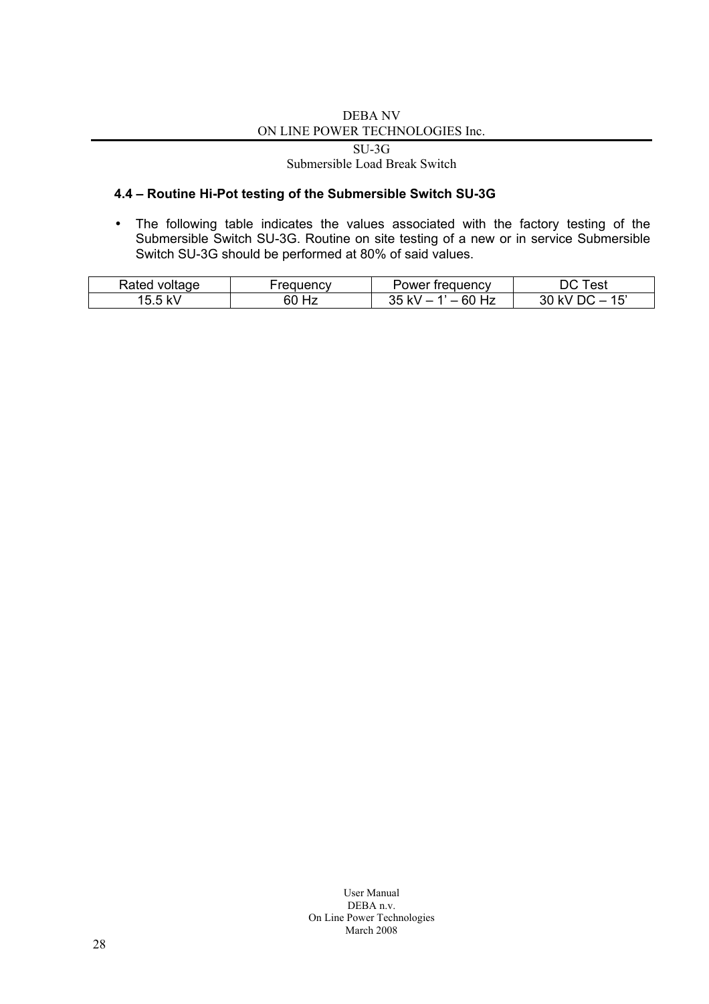SU-3G Submersible Load Break Switch

### **4.4 – Routine Hi-Pot testing of the Submersible Switch SU-3G**

• The following table indicates the values associated with the factory testing of the Submersible Switch SU-3G. Routine on site testing of a new or in service Submersible Switch SU-3G should be performed at 80% of said values.

| Rated voltage            | eduenc   | trequency<br>'ower   | Test                                     |
|--------------------------|----------|----------------------|------------------------------------------|
| . F. F.<br><b>1.1.1.</b> | 60<br>Hz | Hz<br>60<br>35<br>kV | 1 E 1<br>™ \<br>$\overline{\phantom{a}}$ |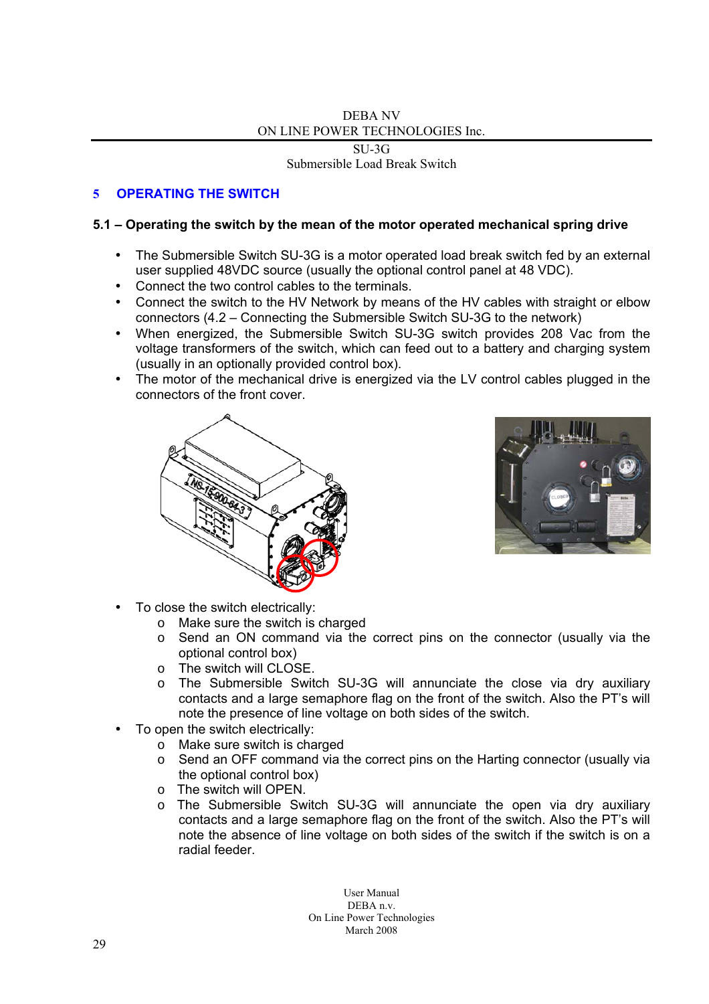SU-3G Submersible Load Break Switch

### **5 OPERATING THE SWITCH**

### **5.1 – Operating the switch by the mean of the motor operated mechanical spring drive**

- The Submersible Switch SU-3G is a motor operated load break switch fed by an external user supplied 48VDC source (usually the optional control panel at 48 VDC).
- Connect the two control cables to the terminals.
- Connect the switch to the HV Network by means of the HV cables with straight or elbow connectors (4.2 – Connecting the Submersible Switch SU-3G to the network)
- When energized, the Submersible Switch SU-3G switch provides 208 Vac from the voltage transformers of the switch, which can feed out to a battery and charging system (usually in an optionally provided control box).
- The motor of the mechanical drive is energized via the LV control cables plugged in the connectors of the front cover.





- To close the switch electrically:
	- o Make sure the switch is charged
	- $\circ$  Send an ON command via the correct pins on the connector (usually via the optional control box)
	- o The switch will CLOSE.
	- o The Submersible Switch SU-3G will annunciate the close via dry auxiliary contacts and a large semaphore flag on the front of the switch. Also the PT's will note the presence of line voltage on both sides of the switch.
- To open the switch electrically:
	- o Make sure switch is charged
	- $\circ$  Send an OFF command via the correct pins on the Harting connector (usually via the optional control box)
	- o The switch will OPEN.
	- o The Submersible Switch SU-3G will annunciate the open via dry auxiliary contacts and a large semaphore flag on the front of the switch. Also the PT's will note the absence of line voltage on both sides of the switch if the switch is on a radial feeder.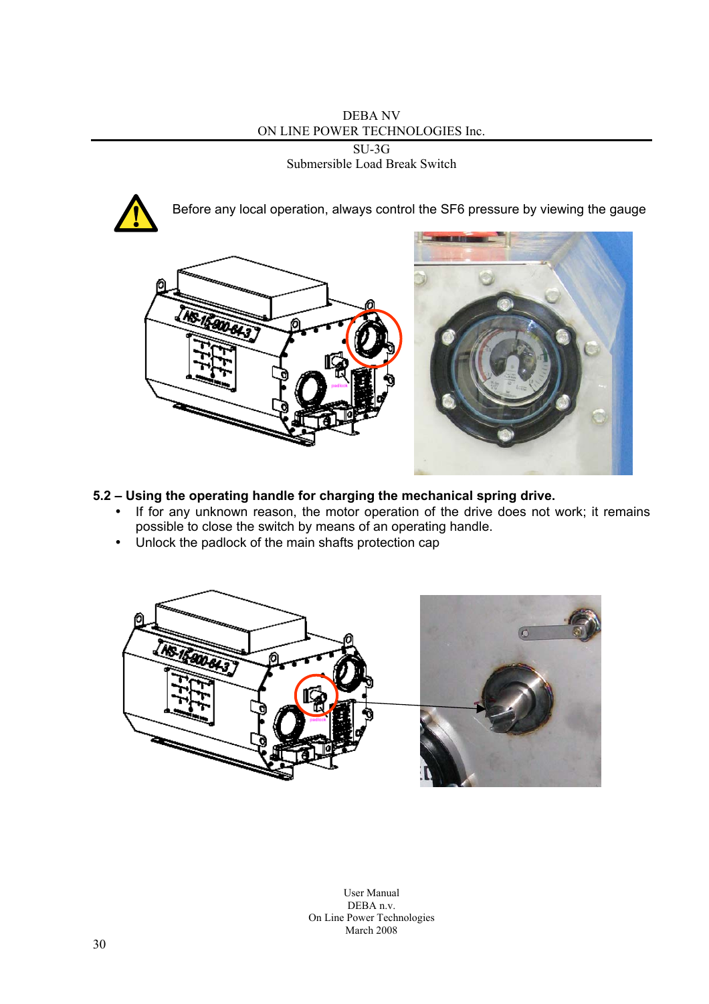DEBA NV ON LINE POWER TECHNOLOGIES Inc.

SU-3G

Submersible Load Break Switch



- If for any unknown reason, the motor operation of the drive does not work; it remains possible to close the switch by means of an operating handle.
- Unlock the padlock of the main shafts protection cap

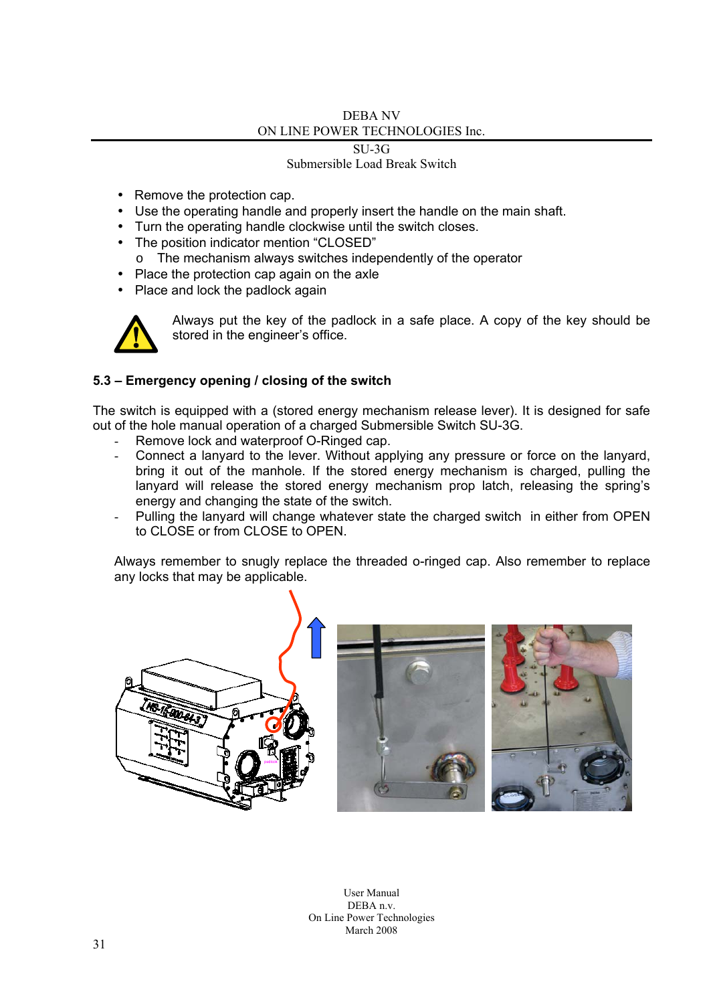#### SU-3G Submersible Load Break Switch

- Remove the protection cap.
- Use the operating handle and properly insert the handle on the main shaft.
- Turn the operating handle clockwise until the switch closes.
- The position indicator mention "CLOSED"
	- o The mechanism always switches independently of the operator
- Place the protection cap again on the axle
- Place and lock the padlock again



Always put the key of the padlock in a safe place. A copy of the key should be stored in the engineer's office.

### **5.3 – Emergency opening / closing of the switch**

The switch is equipped with a (stored energy mechanism release lever). It is designed for safe out of the hole manual operation of a charged Submersible Switch SU-3G.

- Remove lock and waterproof O-Ringed cap.
- Connect a lanyard to the lever. Without applying any pressure or force on the lanyard, bring it out of the manhole. If the stored energy mechanism is charged, pulling the lanyard will release the stored energy mechanism prop latch, releasing the spring's energy and changing the state of the switch.
- Pulling the lanyard will change whatever state the charged switch in either from OPEN to CLOSE or from CLOSE to OPEN.

Always remember to snugly replace the threaded o-ringed cap. Also remember to replace any locks that may be applicable.

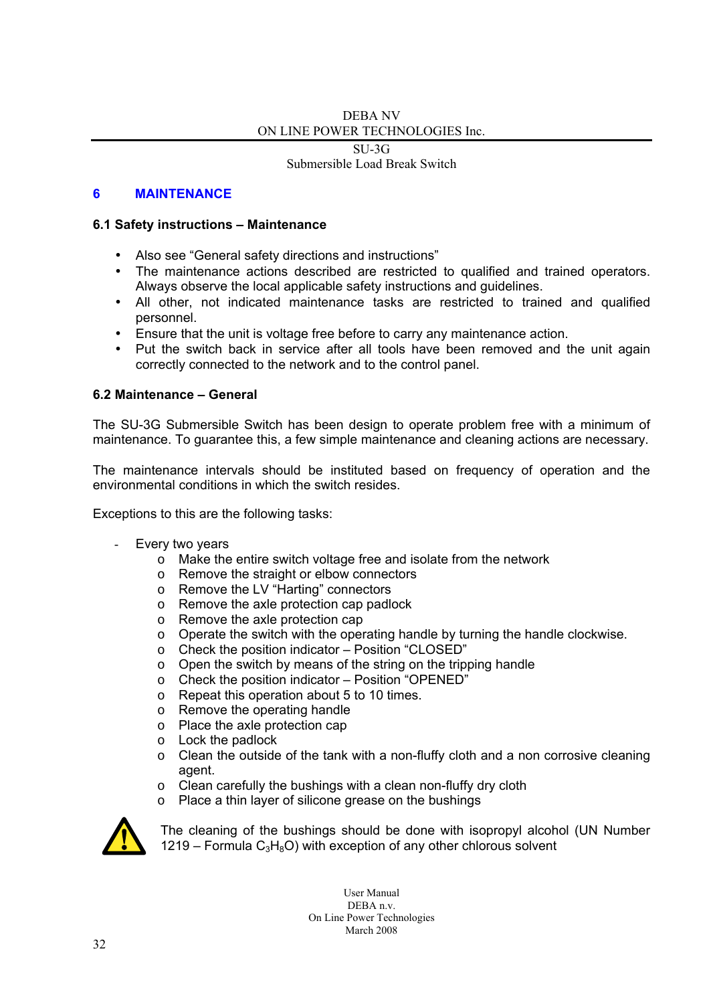SU-3G

Submersible Load Break Switch

### **6 MAINTENANCE**

### **6.1 Safety instructions – Maintenance**

- Also see "General safety directions and instructions"
- The maintenance actions described are restricted to qualified and trained operators. Always observe the local applicable safety instructions and guidelines.
- All other, not indicated maintenance tasks are restricted to trained and qualified personnel.
- Ensure that the unit is voltage free before to carry any maintenance action.
- Put the switch back in service after all tools have been removed and the unit again correctly connected to the network and to the control panel.

### **6.2 Maintenance – General**

The SU-3G Submersible Switch has been design to operate problem free with a minimum of maintenance. To guarantee this, a few simple maintenance and cleaning actions are necessary.

The maintenance intervals should be instituted based on frequency of operation and the environmental conditions in which the switch resides.

Exceptions to this are the following tasks:

- Every two years
	- o Make the entire switch voltage free and isolate from the network
	- o Remove the straight or elbow connectors
	- o Remove the LV "Harting" connectors
	- o Remove the axle protection cap padlock
	- o Remove the axle protection cap
	- o Operate the switch with the operating handle by turning the handle clockwise.
	- o Check the position indicator Position "CLOSED"
	- o Open the switch by means of the string on the tripping handle
	- o Check the position indicator Position "OPENED"
	- o Repeat this operation about 5 to 10 times.
	- o Remove the operating handle
	- o Place the axle protection cap
	- o Lock the padlock
	- $\circ$  Clean the outside of the tank with a non-fluffy cloth and a non corrosive cleaning agent.
	- o Clean carefully the bushings with a clean non-fluffy dry cloth
	- o Place a thin layer of silicone grease on the bushings



The cleaning of the bushings should be done with isopropyl alcohol (UN Number  $1219$  – Formula  $C_3H_8O$ ) with exception of any other chlorous solvent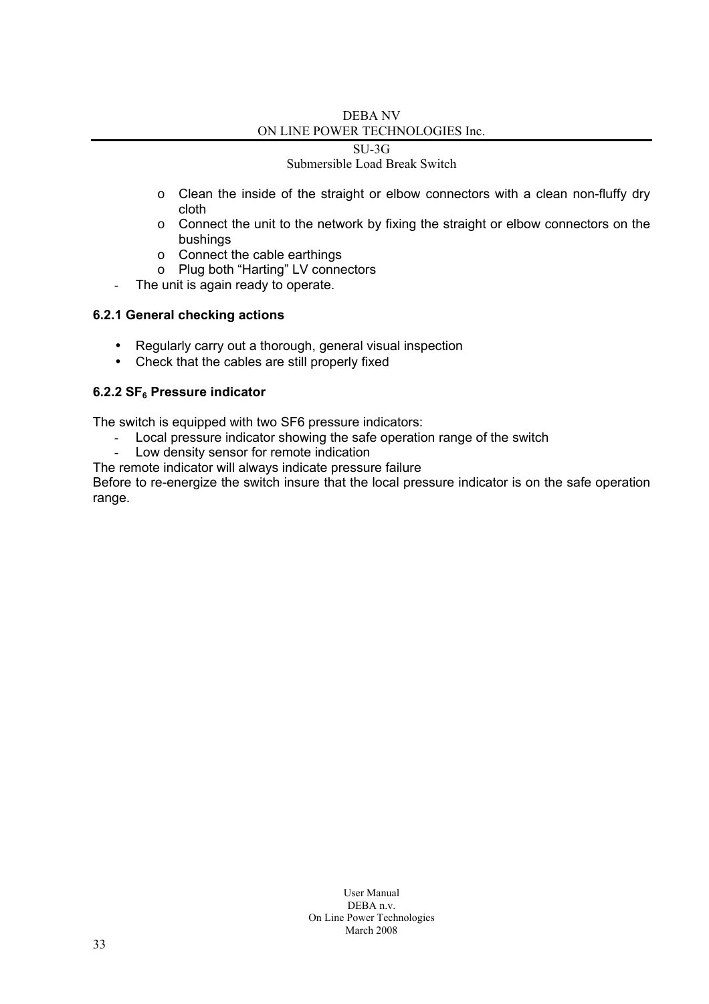#### SU-3G

### Submersible Load Break Switch

- o Clean the inside of the straight or elbow connectors with a clean non-fluffy dry cloth
- o Connect the unit to the network by fixing the straight or elbow connectors on the bushings
- o Connect the cable earthings
- o Plug both "Harting" LV connectors
- The unit is again ready to operate.

### **6.2.1 General checking actions**

- Regularly carry out a thorough, general visual inspection
- Check that the cables are still properly fixed

### 6.2.2 SF<sub>6</sub> Pressure indicator

The switch is equipped with two SF6 pressure indicators:

- Local pressure indicator showing the safe operation range of the switch<br>- I ow density sensor for remote indication
- Low density sensor for remote indication

The remote indicator will always indicate pressure failure

Before to re-energize the switch insure that the local pressure indicator is on the safe operation range.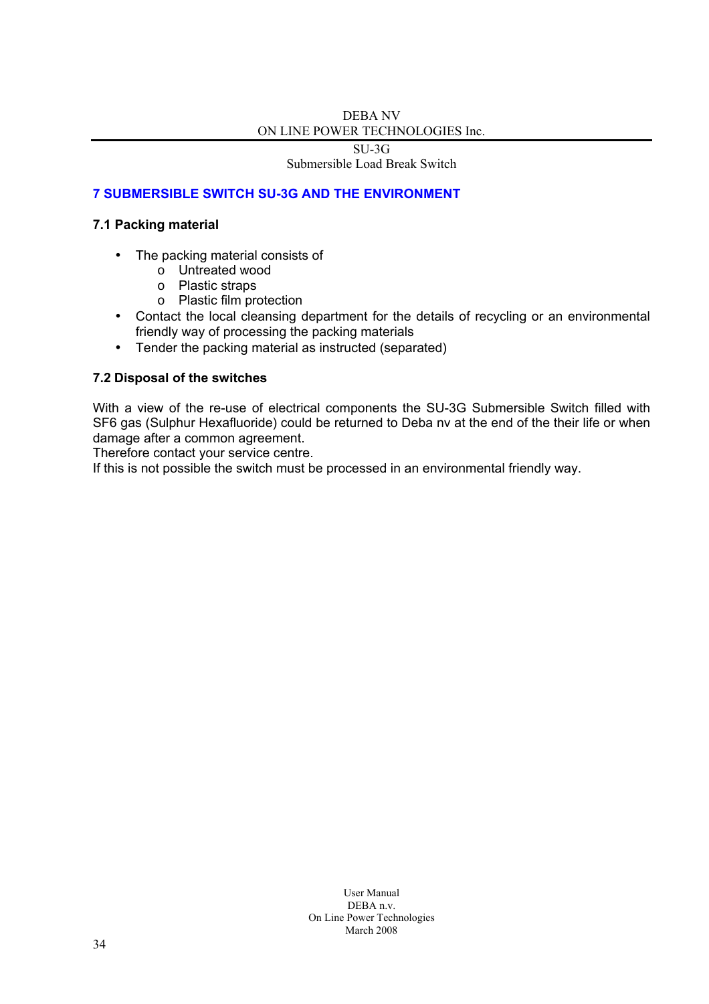SU-3G

Submersible Load Break Switch

### **7 SUBMERSIBLE SWITCH SU-3G AND THE ENVIRONMENT**

### **7.1 Packing material**

- The packing material consists of
	- o Untreated wood
	- o Plastic straps
	- o Plastic film protection
- Contact the local cleansing department for the details of recycling or an environmental friendly way of processing the packing materials
- Tender the packing material as instructed (separated)

### **7.2 Disposal of the switches**

With a view of the re-use of electrical components the SU-3G Submersible Switch filled with SF6 gas (Sulphur Hexafluoride) could be returned to Deba nv at the end of the their life or when damage after a common agreement.

Therefore contact your service centre.

If this is not possible the switch must be processed in an environmental friendly way.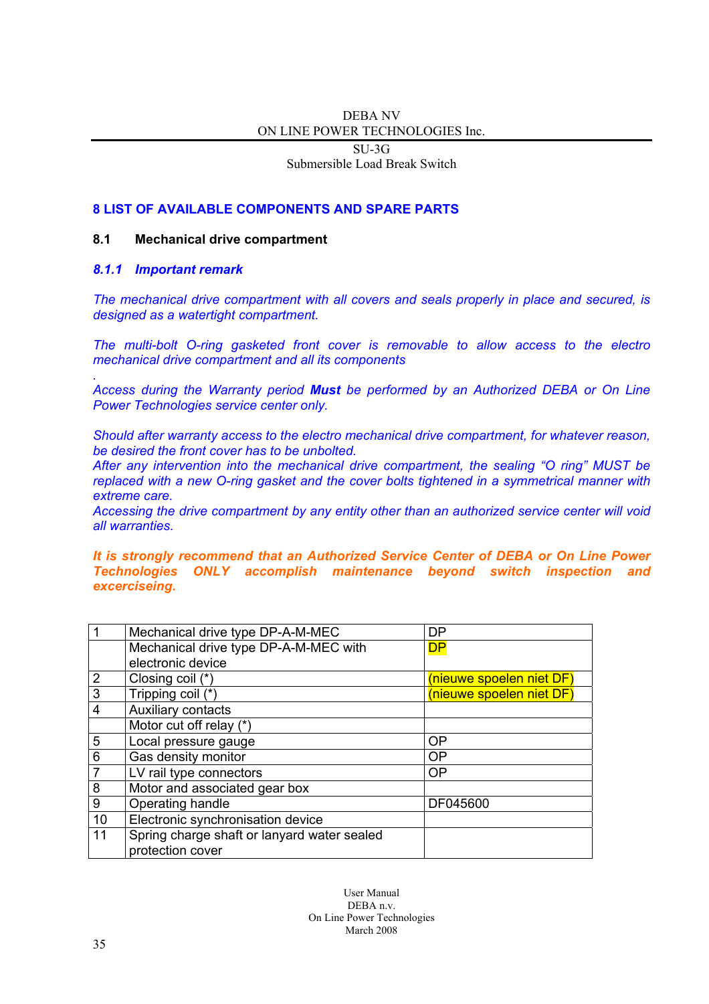SU-3G Submersible Load Break Switch

### **8 LIST OF AVAILABLE COMPONENTS AND SPARE PARTS**

#### **8.1 Mechanical drive compartment**

### *8.1.1 Important remark*

*.* 

*The mechanical drive compartment with all covers and seals properly in place and secured, is designed as a watertight compartment.* 

*The multi-bolt O-ring gasketed front cover is removable to allow access to the electro mechanical drive compartment and all its components* 

*Access during the Warranty period Must be performed by an Authorized DEBA or On Line Power Technologies service center only.* 

*Should after warranty access to the electro mechanical drive compartment, for whatever reason, be desired the front cover has to be unbolted.* 

*After any intervention into the mechanical drive compartment, the sealing "O ring" MUST be replaced with a new O-ring gasket and the cover bolts tightened in a symmetrical manner with extreme care.* 

*Accessing the drive compartment by any entity other than an authorized service center will void all warranties.* 

*It is strongly recommend that an Authorized Service Center of DEBA or On Line Power Technologies ONLY accomplish maintenance beyond switch inspection and excerciseing.* 

| $\overline{1}$   | Mechanical drive type DP-A-M-MEC            | DP                       |
|------------------|---------------------------------------------|--------------------------|
|                  | Mechanical drive type DP-A-M-MEC with       | DP                       |
|                  | electronic device                           |                          |
| $\boldsymbol{2}$ | Closing coil (*)                            | (nieuwe spoelen niet DF) |
| $\overline{3}$   | Tripping coil (*)                           | (nieuwe spoelen niet DF) |
| $\overline{4}$   | Auxiliary contacts                          |                          |
|                  | Motor cut off relay (*)                     |                          |
| 5                | Local pressure gauge                        | ΟP                       |
| 6                | Gas density monitor                         | <b>OP</b>                |
| $\overline{7}$   | LV rail type connectors                     | <b>OP</b>                |
| 8                | Motor and associated gear box               |                          |
| $\overline{9}$   | Operating handle                            | DF045600                 |
| 10               | Electronic synchronisation device           |                          |
| 11               | Spring charge shaft or lanyard water sealed |                          |
|                  | protection cover                            |                          |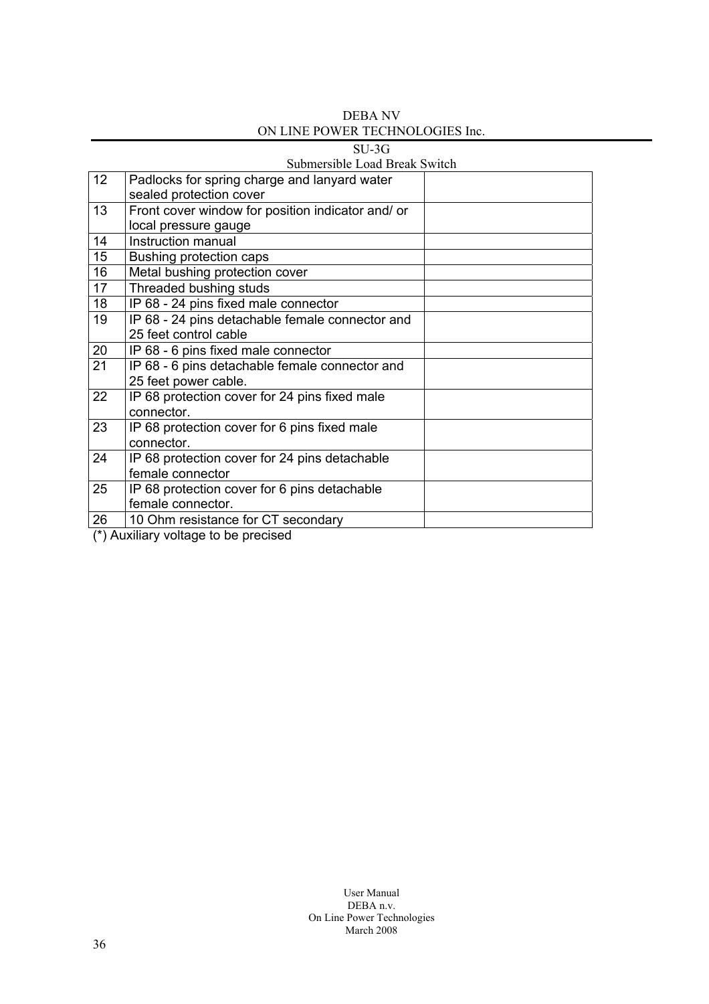| DEBA NV                         |
|---------------------------------|
| ON LINE POWER TECHNOLOGIES Inc. |

|    | $SU-3G$                                           |  |
|----|---------------------------------------------------|--|
|    | Submersible Load Break Switch                     |  |
| 12 | Padlocks for spring charge and lanyard water      |  |
|    | sealed protection cover                           |  |
| 13 | Front cover window for position indicator and/ or |  |
|    | local pressure gauge                              |  |
| 14 | Instruction manual                                |  |
| 15 | Bushing protection caps                           |  |
| 16 | Metal bushing protection cover                    |  |
| 17 | Threaded bushing studs                            |  |
| 18 | IP 68 - 24 pins fixed male connector              |  |
| 19 | IP 68 - 24 pins detachable female connector and   |  |
|    | 25 feet control cable                             |  |
| 20 | IP 68 - 6 pins fixed male connector               |  |
| 21 | IP 68 - 6 pins detachable female connector and    |  |
|    | 25 feet power cable.                              |  |
| 22 | IP 68 protection cover for 24 pins fixed male     |  |
|    | connector.                                        |  |
| 23 | IP 68 protection cover for 6 pins fixed male      |  |
|    | connector.                                        |  |
| 24 | IP 68 protection cover for 24 pins detachable     |  |
|    | female connector                                  |  |
| 25 | IP 68 protection cover for 6 pins detachable      |  |
|    | female connector.                                 |  |
| 26 | 10 Ohm resistance for CT secondary                |  |

(\*) Auxiliary voltage to be precised